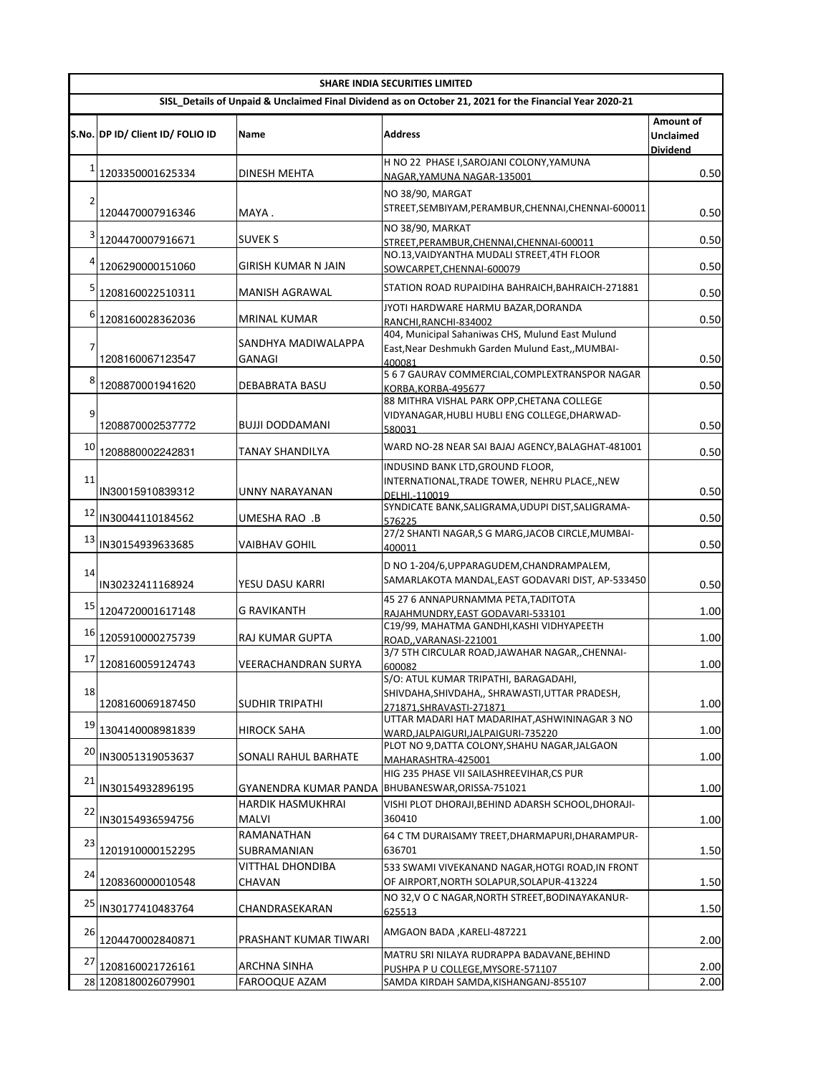|    |                                  |                                 | <b>SHARE INDIA SECURITIES LIMITED</b>                                                                   |                                                  |
|----|----------------------------------|---------------------------------|---------------------------------------------------------------------------------------------------------|--------------------------------------------------|
|    |                                  |                                 | SISL_Details of Unpaid & Unclaimed Final Dividend as on October 21, 2021 for the Financial Year 2020-21 |                                                  |
|    | S.No. DP ID/ Client ID/ FOLIO ID | Name                            | <b>Address</b>                                                                                          | Amount of<br><b>Unclaimed</b><br><b>Dividend</b> |
| 1  |                                  | <b>DINESH MEHTA</b>             | H NO 22 PHASE I, SAROJANI COLONY, YAMUNA                                                                |                                                  |
|    | 1203350001625334                 |                                 | NAGAR, YAMUNA NAGAR-135001                                                                              | 0.50                                             |
| 2  |                                  |                                 | NO 38/90, MARGAT                                                                                        |                                                  |
|    | 1204470007916346                 | MAYA.                           | STREET, SEMBIYAM, PERAMBUR, CHENNAI, CHENNAI-600011                                                     | 0.50                                             |
| 3  | 1204470007916671                 | <b>SUVEK S</b>                  | NO 38/90, MARKAT<br>STREET, PERAMBUR, CHENNAI, CHENNAI-600011                                           | 0.50                                             |
|    |                                  |                                 | NO.13, VAIDYANTHA MUDALI STREET, 4TH FLOOR                                                              |                                                  |
| 4  | 1206290000151060                 | GIRISH KUMAR N JAIN             | SOWCARPET, CHENNAI-600079                                                                               | 0.50                                             |
| 5  | 1208160022510311                 | MANISH AGRAWAL                  | STATION ROAD RUPAIDIHA BAHRAICH, BAHRAICH-271881                                                        | 0.50                                             |
| 6  | 1208160028362036                 | MRINAL KUMAR                    | JYOTI HARDWARE HARMU BAZAR,DORANDA<br>RANCHI, RANCHI-834002                                             | 0.50                                             |
|    |                                  |                                 | 404, Municipal Sahaniwas CHS, Mulund East Mulund                                                        |                                                  |
| 7  |                                  | SANDHYA MADIWALAPPA             | East, Near Deshmukh Garden Mulund East,, MUMBAI-                                                        |                                                  |
|    | 1208160067123547                 | GANAGI                          | 400081<br>5 6 7 GAURAV COMMERCIAL, COMPLEXTRANSPOR NAGAR                                                | 0.50                                             |
| 8  | 1208870001941620                 | <b>DEBABRATA BASU</b>           | KORBA, KORBA-495677                                                                                     | 0.50                                             |
|    |                                  |                                 | 88 MITHRA VISHAL PARK OPP, CHETANA COLLEGE                                                              |                                                  |
| 9  | 1208870002537772                 | <b>BUJJI DODDAMANI</b>          | VIDYANAGAR, HUBLI HUBLI ENG COLLEGE, DHARWAD-                                                           | 0.50                                             |
|    |                                  |                                 | 580031                                                                                                  |                                                  |
| 10 | 1208880002242831                 | TANAY SHANDILYA                 | WARD NO-28 NEAR SAI BAJAJ AGENCY, BALAGHAT-481001                                                       | 0.50                                             |
| 11 | IN30015910839312                 | UNNY NARAYANAN                  | INDUSIND BANK LTD, GROUND FLOOR,<br>INTERNATIONAL, TRADE TOWER, NEHRU PLACE, , NEW<br>DELHI.-110019     | 0.50                                             |
| 12 | IN30044110184562                 | UMESHA RAO  .B                  | SYNDICATE BANK, SALIGRAMA, UDUPI DIST, SALIGRAMA-                                                       | 0.50                                             |
|    |                                  |                                 | 576225<br>27/2 SHANTI NAGAR, S G MARG, JACOB CIRCLE, MUMBAI-                                            |                                                  |
| 13 | IN30154939633685                 | VAIBHAV GOHIL                   | 400011                                                                                                  | 0.50                                             |
| 14 | IN30232411168924                 | YESU DASU KARRI                 | D NO 1-204/6, UPPARAGUDEM, CHANDRAMPALEM,<br>SAMARLAKOTA MANDAL, EAST GODAVARI DIST, AP-533450          | 0.50                                             |
| 15 | 1204720001617148                 | <b>G RAVIKANTH</b>              | 45 27 6 ANNAPURNAMMA PETA, TADITOTA                                                                     | 1.00                                             |
|    |                                  |                                 | RAJAHMUNDRY, EAST GODAVARI-533101<br>C19/99, MAHATMA GANDHI, KASHI VIDHYAPEETH                          |                                                  |
| 16 | 1205910000275739                 | RAJ KUMAR GUPTA                 | ROAD., VARANASI-221001                                                                                  | 1.00                                             |
| 17 | 1208160059124743                 | VEERACHANDRAN SURYA             | 3/7 5TH CIRCULAR ROAD, JAWAHAR NAGAR, , CHENNAI-<br>600082                                              | 1.00                                             |
|    |                                  |                                 | S/O: ATUL KUMAR TRIPATHI, BARAGADAHI,                                                                   |                                                  |
| 18 | 1208160069187450                 | <b>SUDHIR TRIPATHI</b>          | SHIVDAHA, SHIVDAHA,, SHRAWASTI, UTTAR PRADESH,                                                          | 1.00                                             |
|    |                                  |                                 | 271871.SHRAVASTI-271871<br>UTTAR MADARI HAT MADARIHAT, ASHWININAGAR 3 NO                                |                                                  |
| 19 | 1304140008981839                 | <b>HIROCK SAHA</b>              | WARD, JALPAIGURI, JALPAIGURI-735220                                                                     | 1.00                                             |
| 20 | IN30051319053637                 | SONALI RAHUL BARHATE            | PLOT NO 9, DATTA COLONY, SHAHU NAGAR, JALGAON<br>MAHARASHTRA-425001                                     | 1.00                                             |
| 21 | IN30154932896195                 | GYANENDRA KUMAR PANDA           | HIG 235 PHASE VII SAILASHREEVIHAR,CS PUR<br>BHUBANESWAR, ORISSA-751021                                  | 1.00                                             |
|    |                                  | HARDIK HASMUKHRAI               | VISHI PLOT DHORAJI, BEHIND ADARSH SCHOOL, DHORAJI-                                                      |                                                  |
| 22 | IN30154936594756                 | MALVI                           | 360410                                                                                                  | 1.00                                             |
| 23 | 1201910000152295                 | RAMANATHAN                      | 64 C TM DURAISAMY TREET, DHARMAPURI, DHARAMPUR-<br>636701                                               |                                                  |
|    |                                  | SUBRAMANIAN<br>VITTHAL DHONDIBA | 533 SWAMI VIVEKANAND NAGAR, HOTGI ROAD, IN FRONT                                                        | 1.50                                             |
| 24 | 1208360000010548                 | CHAVAN                          | OF AIRPORT, NORTH SOLAPUR, SOLAPUR-413224                                                               | 1.50                                             |
| 25 | IN30177410483764                 | CHANDRASEKARAN                  | NO 32, V O C NAGAR, NORTH STREET, BODINAYAKANUR-<br>625513                                              | 1.50                                             |
| 26 | 1204470002840871                 | PRASHANT KUMAR TIWARI           | AMGAON BADA, KARELI-487221                                                                              | 2.00                                             |
| 27 | 1208160021726161                 | ARCHNA SINHA                    | MATRU SRI NILAYA RUDRAPPA BADAVANE, BEHIND                                                              | 2.00                                             |
|    | 28 1208180026079901              | FAROOQUE AZAM                   | PUSHPA P U COLLEGE, MYSORE-571107<br>SAMDA KIRDAH SAMDA,KISHANGANJ-855107                               | 2.00                                             |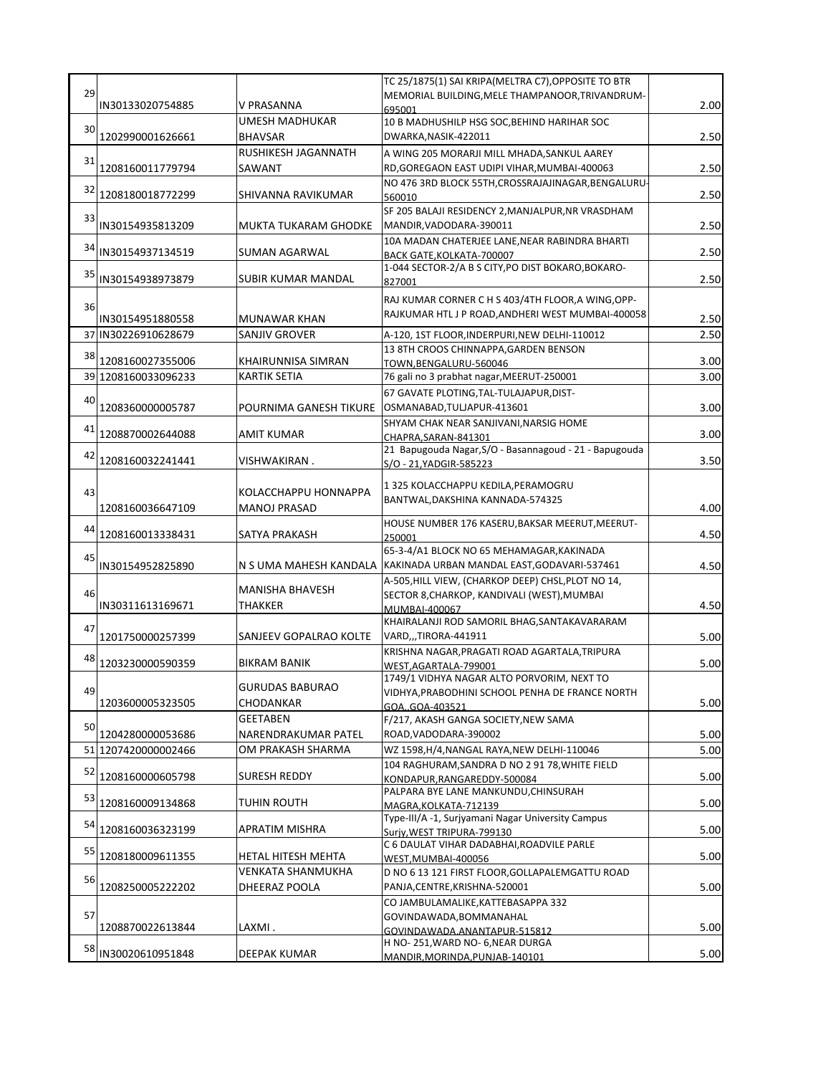|    |                                         |                                       | TC 25/1875(1) SAI KRIPA(MELTRA C7), OPPOSITE TO BTR                                           |              |
|----|-----------------------------------------|---------------------------------------|-----------------------------------------------------------------------------------------------|--------------|
| 29 |                                         |                                       | MEMORIAL BUILDING, MELE THAMPANOOR, TRIVANDRUM-                                               |              |
|    | IN30133020754885                        | V PRASANNA                            | 695001                                                                                        | 2.00         |
| 30 |                                         | UMESH MADHUKAR                        | 10 B MADHUSHILP HSG SOC, BEHIND HARIHAR SOC                                                   |              |
|    | 1202990001626661                        | <b>BHAVSAR</b><br>RUSHIKESH JAGANNATH | DWARKA, NASIK-422011                                                                          | 2.50         |
| 31 | 1208160011779794                        | SAWANT                                | A WING 205 MORARJI MILL MHADA, SANKUL AAREY<br>RD, GOREGAON EAST UDIPI VIHAR, MUMBAI-400063   | 2.50         |
|    |                                         |                                       | NO 476 3RD BLOCK 55TH, CROSSRAJAJINAGAR, BENGALURU                                            |              |
| 32 | 1208180018772299                        | SHIVANNA RAVIKUMAR                    | 560010                                                                                        | 2.50         |
|    |                                         |                                       | SF 205 BALAJI RESIDENCY 2, MANJALPUR, NR VRASDHAM                                             |              |
| 33 | IN30154935813209                        | MUKTA TUKARAM GHODKE                  | MANDIR, VADODARA-390011                                                                       | 2.50         |
|    |                                         |                                       | 10A MADAN CHATERJEE LANE, NEAR RABINDRA BHARTI                                                |              |
| 34 | IN30154937134519                        | SUMAN AGARWAL                         | BACK GATE, KOLKATA-700007                                                                     | 2.50         |
| 35 | IN30154938973879                        |                                       | 1-044 SECTOR-2/A B S CITY, PO DIST BOKARO, BOKARO-                                            | 2.50         |
|    |                                         | SUBIR KUMAR MANDAL                    | 827001                                                                                        |              |
| 36 |                                         |                                       | RAJ KUMAR CORNER C H S 403/4TH FLOOR, A WING, OPP-                                            |              |
|    | IN30154951880558                        | MUNAWAR KHAN                          | RAJKUMAR HTL J P ROAD, ANDHERI WEST MUMBAI-400058                                             | 2.50         |
|    | 37 IN30226910628679                     | SANJIV GROVER                         | A-120, 1ST FLOOR, INDERPURI, NEW DELHI-110012                                                 | 2.50         |
| 38 |                                         |                                       | 13 8TH CROOS CHINNAPPA, GARDEN BENSON                                                         |              |
|    | 1208160027355006                        | KHAIRUNNISA SIMRAN                    | TOWN, BENGALURU-560046                                                                        | 3.00         |
|    | 39 1208160033096233                     | <b>KARTIK SETIA</b>                   | 76 gali no 3 prabhat nagar, MEERUT-250001                                                     | 3.00         |
| 40 |                                         |                                       | 67 GAVATE PLOTING, TAL-TULAJAPUR, DIST-                                                       |              |
|    | 1208360000005787                        | POURNIMA GANESH TIKURE                | OSMANABAD, TULJAPUR-413601                                                                    | 3.00         |
| 41 |                                         |                                       | SHYAM CHAK NEAR SANJIVANI, NARSIG HOME                                                        |              |
|    | 1208870002644088                        | AMIT KUMAR                            | CHAPRA.SARAN-841301                                                                           | 3.00         |
| 42 | 1208160032241441                        | VISHWAKIRAN .                         | 21 Bapugouda Nagar, S/O - Basannagoud - 21 - Bapugouda                                        | 3.50         |
|    |                                         |                                       | S/O - 21.YADGIR-585223                                                                        |              |
| 43 |                                         | KOLACCHAPPU HONNAPPA                  | 1 325 KOLACCHAPPU KEDILA, PERAMOGRU                                                           |              |
|    |                                         | <b>MANOJ PRASAD</b>                   | BANTWAL, DAKSHINA KANNADA-574325                                                              |              |
|    | 1208160036647109                        |                                       | HOUSE NUMBER 176 KASERU, BAKSAR MEERUT, MEERUT-                                               | 4.00         |
| 44 | 1208160013338431                        | SATYA PRAKASH                         | 250001                                                                                        | 4.50         |
|    |                                         |                                       | 65-3-4/A1 BLOCK NO 65 MEHAMAGAR, KAKINADA                                                     |              |
| 45 | IN30154952825890                        | N S UMA MAHESH KANDALA                | KAKINADA URBAN MANDAL EAST, GODAVARI-537461                                                   | 4.50         |
|    |                                         |                                       | A-505, HILL VIEW, (CHARKOP DEEP) CHSL, PLOT NO 14,                                            |              |
| 46 |                                         | <b>MANISHA BHAVESH</b>                | SECTOR 8, CHARKOP, KANDIVALI (WEST), MUMBAI                                                   |              |
|    |                                         |                                       |                                                                                               |              |
|    | IN30311613169671                        | THAKKER                               | MUMBAI-400067                                                                                 | 4.50         |
|    |                                         |                                       | KHAIRALANJI ROD SAMORIL BHAG, SANTAKAVARARAM                                                  |              |
| 47 | 1201750000257399                        | SANJEEV GOPALRAO KOLTE                | VARD,,,TIRORA-441911                                                                          | 5.00         |
|    |                                         |                                       | KRISHNA NAGAR, PRAGATI ROAD AGARTALA, TRIPURA                                                 |              |
| 48 | 1203230000590359                        | <b>BIKRAM BANIK</b>                   | WEST, AGARTALA-799001                                                                         | 5.00         |
|    |                                         | <b>GURUDAS BABURAO</b>                | 1749/1 VIDHYA NAGAR ALTO PORVORIM, NEXT TO                                                    |              |
| 49 | 1203600005323505                        |                                       | VIDHYA, PRABODHINI SCHOOL PENHA DE FRANCE NORTH                                               | 5.00         |
|    |                                         | CHODANKAR<br><b>GEETABEN</b>          | GOAGOA-403521                                                                                 |              |
| 50 |                                         | NARENDRAKUMAR PATEL                   | F/217, AKASH GANGA SOCIETY, NEW SAMA<br>ROAD, VADODARA-390002                                 |              |
|    | 1204280000053686<br>51 1207420000002466 |                                       |                                                                                               | 5.00<br>5.00 |
|    |                                         | OM PRAKASH SHARMA                     | WZ 1598, H/4, NANGAL RAYA, NEW DELHI-110046<br>104 RAGHURAM, SANDRA D NO 2 91 78, WHITE FIELD |              |
| 52 | 1208160000605798                        | <b>SURESH REDDY</b>                   | KONDAPUR, RANGAREDDY-500084                                                                   | 5.00         |
|    |                                         |                                       | PALPARA BYE LANE MANKUNDU, CHINSURAH                                                          |              |
| 53 | 1208160009134868                        | TUHIN ROUTH                           | MAGRA, KOLKATA-712139                                                                         | 5.00         |
| 54 |                                         |                                       | Type-III/A -1, Surjyamani Nagar University Campus                                             |              |
|    | 1208160036323199                        | APRATIM MISHRA                        | Surjy, WEST TRIPURA-799130                                                                    | 5.00         |
| 55 | 1208180009611355                        | HETAL HITESH MEHTA                    | C 6 DAULAT VIHAR DADABHAI, ROADVILE PARLE                                                     | 5.00         |
|    |                                         | VENKATA SHANMUKHA                     | WEST,MUMBAI-400056                                                                            |              |
| 56 | 1208250005222202                        | DHEERAZ POOLA                         | D NO 6 13 121 FIRST FLOOR, GOLLAPALEMGATTU ROAD<br>PANJA, CENTRE, KRISHNA-520001              | 5.00         |
|    |                                         |                                       | CO JAMBULAMALIKE, KATTEBASAPPA 332                                                            |              |
| 57 |                                         |                                       | GOVINDAWADA, BOMMANAHAL                                                                       |              |
|    | 1208870022613844                        | LAXMI .                               | GOVINDAWADA.ANANTAPUR-515812                                                                  | 5.00         |
| 58 | IN30020610951848                        | DEEPAK KUMAR                          | H NO-251, WARD NO-6, NEAR DURGA<br>MANDIR, MORINDA, PUNJAB-140101                             | 5.00         |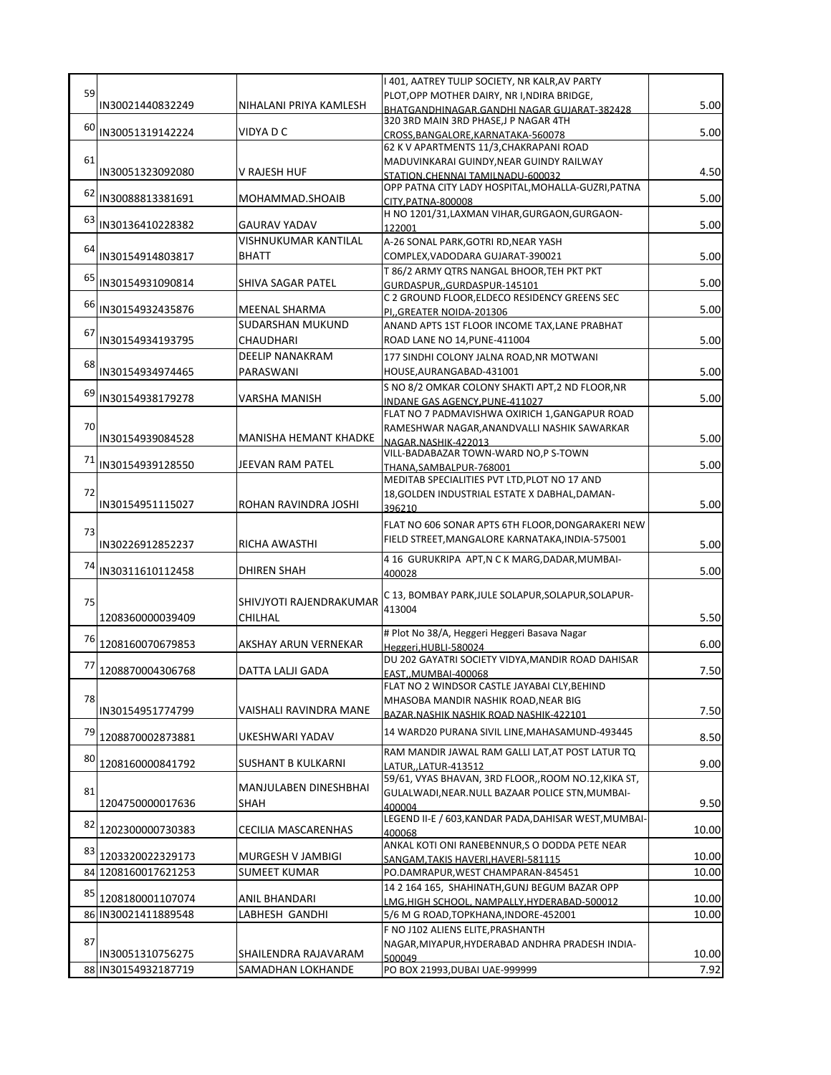|    |                     |                           | I 401, AATREY TULIP SOCIETY, NR KALR, AV PARTY                                      |       |
|----|---------------------|---------------------------|-------------------------------------------------------------------------------------|-------|
| 59 | IN30021440832249    | NIHALANI PRIYA KAMLESH    | PLOT, OPP MOTHER DAIRY, NR I, NDIRA BRIDGE,                                         | 5.00  |
|    |                     |                           | BHATGANDHINAGAR.GANDHI NAGAR GUJARAT-382428<br>320 3RD MAIN 3RD PHASE, JP NAGAR 4TH |       |
| 60 | IN30051319142224    | VIDYA D C                 | CROSS, BANGALORE, KARNATAKA-560078                                                  | 5.00  |
|    |                     |                           | 62 K V APARTMENTS 11/3, CHAKRAPANI ROAD                                             |       |
| 61 |                     |                           | MADUVINKARAI GUINDY, NEAR GUINDY RAILWAY                                            |       |
|    | IN30051323092080    | V RAJESH HUF              | STATION.CHENNAI TAMILNADU-600032                                                    | 4.50  |
| 62 |                     |                           | OPP PATNA CITY LADY HOSPITAL, MOHALLA-GUZRI, PATNA                                  |       |
|    | IN30088813381691    | MOHAMMAD.SHOAIB           | CITY, PATNA-800008                                                                  | 5.00  |
| 63 |                     |                           | H NO 1201/31, LAXMAN VIHAR, GURGAON, GURGAON-                                       |       |
|    | IN30136410228382    | <b>GAURAV YADAV</b>       | 122001                                                                              | 5.00  |
| 64 |                     | VISHNUKUMAR KANTILAL      | A-26 SONAL PARK, GOTRI RD, NEAR YASH                                                |       |
|    | IN30154914803817    | <b>BHATT</b>              | COMPLEX, VADODARA GUJARAT-390021                                                    | 5.00  |
| 65 |                     | SHIVA SAGAR PATEL         | T 86/2 ARMY QTRS NANGAL BHOOR, TEH PKT PKT                                          |       |
|    | IN30154931090814    |                           | GURDASPUR, GURDASPUR-145101                                                         | 5.00  |
| 66 | IN30154932435876    | MEENAL SHARMA             | C 2 GROUND FLOOR, ELDECO RESIDENCY GREENS SEC                                       | 5.00  |
|    |                     | SUDARSHAN MUKUND          | PI,, GREATER NOIDA-201306<br>ANAND APTS 1ST FLOOR INCOME TAX, LANE PRABHAT          |       |
| 67 |                     |                           |                                                                                     |       |
|    | IN30154934193795    | CHAUDHARI                 | ROAD LANE NO 14, PUNE-411004                                                        | 5.00  |
| 68 |                     | <b>DEELIP NANAKRAM</b>    | 177 SINDHI COLONY JALNA ROAD, NR MOTWANI                                            |       |
|    | IN30154934974465    | PARASWANI                 | HOUSE, AURANGABAD-431001                                                            | 5.00  |
| 69 |                     | VARSHA MANISH             | S NO 8/2 OMKAR COLONY SHAKTI APT,2 ND FLOOR, NR                                     |       |
|    | IN30154938179278    |                           | INDANE GAS AGENCY.PUNE-411027                                                       | 5.00  |
| 70 |                     |                           | FLAT NO 7 PADMAVISHWA OXIRICH 1, GANGAPUR ROAD                                      |       |
|    | IN30154939084528    | MANISHA HEMANT KHADKE     | RAMESHWAR NAGAR, ANANDVALLI NASHIK SAWARKAR<br>NAGAR.NASHIK-422013                  | 5.00  |
|    |                     |                           | VILL-BADABAZAR TOWN-WARD NO,P S-TOWN                                                |       |
| 71 | IN30154939128550    | JEEVAN RAM PATEL          | THANA, SAMBALPUR-768001                                                             | 5.00  |
|    |                     |                           | MEDITAB SPECIALITIES PVT LTD, PLOT NO 17 AND                                        |       |
| 72 |                     |                           | 18, GOLDEN INDUSTRIAL ESTATE X DABHAL, DAMAN-                                       |       |
|    | IN30154951115027    | ROHAN RAVINDRA JOSHI      | 396210                                                                              | 5.00  |
|    |                     |                           | FLAT NO 606 SONAR APTS 6TH FLOOR, DONGARAKERI NEW                                   |       |
| 73 |                     |                           | FIELD STREET, MANGALORE KARNATAKA, INDIA-575001                                     |       |
|    | IN30226912852237    | RICHA AWASTHI             |                                                                                     | 5.00  |
| 74 | IN30311610112458    | DHIREN SHAH               | 4 16 GURUKRIPA APT, N C K MARG, DADAR, MUMBAI-                                      | 5.00  |
|    |                     |                           | 400028                                                                              |       |
|    |                     |                           | C 13, BOMBAY PARK, JULE SOLAPUR, SOLAPUR, SOLAPUR-                                  |       |
| 75 |                     | SHIVJYOTI RAJENDRAKUMAR   | 413004                                                                              |       |
|    | 1208360000039409    | CHILHAL                   |                                                                                     | 5.50  |
| 76 | 1208160070679853    | AKSHAY ARUN VERNEKAR      | # Plot No 38/A, Heggeri Heggeri Basava Nagar                                        | 6.00  |
|    |                     |                           | Heggeri, HUBLI-580024<br>DU 202 GAYATRI SOCIETY VIDYA, MANDIR ROAD DAHISAR          |       |
| 77 | 1208870004306768    | <b>DATTA LALJI GADA</b>   | EAST,, MUMBAI-400068                                                                | 7.50  |
|    |                     |                           | FLAT NO 2 WINDSOR CASTLE JAYABAI CLY, BEHIND                                        |       |
| 78 |                     |                           | MHASOBA MANDIR NASHIK ROAD, NEAR BIG                                                |       |
|    | IN30154951774799    | VAISHALI RAVINDRA MANE    | BAZAR.NASHIK NASHIK ROAD NASHIK-422101                                              | 7.50  |
| 79 |                     |                           | 14 WARD20 PURANA SIVIL LINE, MAHASAMUND-493445                                      |       |
|    | 1208870002873881    | UKESHWARI YADAV           |                                                                                     | 8.50  |
| 80 |                     |                           | RAM MANDIR JAWAL RAM GALLI LAT, AT POST LATUR TQ                                    |       |
|    | 1208160000841792    | <b>SUSHANT B KULKARNI</b> | LATUR,,LATUR-413512                                                                 | 9.00  |
|    |                     | MANJULABEN DINESHBHAI     | 59/61, VYAS BHAVAN, 3RD FLOOR, ROOM NO.12, KIKA ST,                                 |       |
| 81 | 1204750000017636    | <b>SHAH</b>               | GULALWADI, NEAR. NULL BAZAAR POLICE STN, MUMBAI-                                    | 9.50  |
|    |                     |                           | 400004<br>LEGEND II-E / 603, KANDAR PADA, DAHISAR WEST, MUMBAI-                     |       |
| 82 | 1202300000730383    | CECILIA MASCARENHAS       | 400068                                                                              | 10.00 |
|    |                     |                           | ANKAL KOTI ONI RANEBENNUR,S O DODDA PETE NEAR                                       |       |
| 83 | 1203320022329173    | MURGESH V JAMBIGI         | SANGAM, TAKIS HAVERI, HAVERI-581115                                                 | 10.00 |
|    | 84 1208160017621253 | SUMEET KUMAR              | PO.DAMRAPUR, WEST CHAMPARAN-845451                                                  | 10.00 |
|    |                     |                           | 14 2 164 165, SHAHINATH, GUNJ BEGUM BAZAR OPP                                       |       |
| 85 | 1208180001107074    | ANIL BHANDARI             | LMG,HIGH SCHOOL, NAMPALLY,HYDERABAD-500012                                          | 10.00 |
|    | 86 IN30021411889548 | LABHESH GANDHI            | 5/6 M G ROAD, TOPKHANA, INDORE-452001                                               | 10.00 |
|    |                     |                           | F NO J102 ALIENS ELITE, PRASHANTH                                                   |       |
| 87 |                     |                           | NAGAR, MIYAPUR, HYDERABAD ANDHRA PRADESH INDIA-                                     |       |
|    | IN30051310756275    | SHAILENDRA RAJAVARAM      | 500049                                                                              | 10.00 |
|    | 88 IN30154932187719 | SAMADHAN LOKHANDE         | PO BOX 21993, DUBAI UAE-999999                                                      | 7.92  |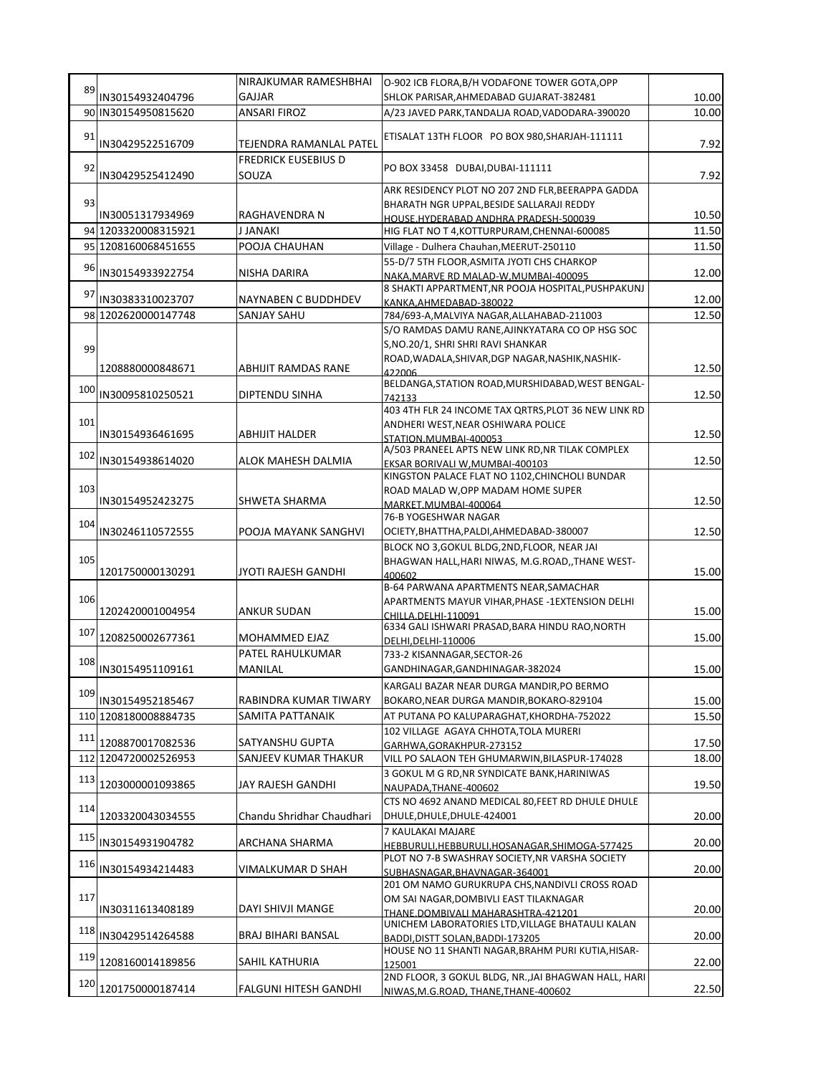| 89  |                      | NIRAJKUMAR RAMESHBHAI               | O-902 ICB FLORA, B/H VODAFONE TOWER GOTA, OPP                                         |       |
|-----|----------------------|-------------------------------------|---------------------------------------------------------------------------------------|-------|
|     | IN30154932404796     | GAJJAR                              | SHLOK PARISAR, AHMEDABAD GUJARAT-382481                                               | 10.00 |
|     | 90 IN30154950815620  | ANSARI FIROZ                        | A/23 JAVED PARK, TANDALJA ROAD, VADODARA-390020                                       | 10.00 |
| 91  | IN30429522516709     | TEJENDRA RAMANLAL PATEL             | ETISALAT 13TH FLOOR PO BOX 980, SHARJAH-111111                                        | 7.92  |
| 92  | IN30429525412490     | <b>FREDRICK EUSEBIUS D</b><br>SOUZA | PO BOX 33458 DUBAI, DUBAI-111111                                                      | 7.92  |
|     |                      |                                     | ARK RESIDENCY PLOT NO 207 2ND FLR, BEERAPPA GADDA                                     |       |
| 93  | IN30051317934969     | RAGHAVENDRA N                       | BHARATH NGR UPPAL, BESIDE SALLARAJI REDDY                                             | 10.50 |
|     | 94 1203320008315921  | <b>J JANAKI</b>                     | HOUSE.HYDERABAD ANDHRA PRADESH-500039<br>HIG FLAT NO T 4, KOTTURPURAM, CHENNAI-600085 | 11.50 |
|     | 95 1208160068451655  | POOJA CHAUHAN                       | Village - Dulhera Chauhan, MEERUT-250110                                              | 11.50 |
|     |                      |                                     | 55-D/7 5TH FLOOR, ASMITA JYOTI CHS CHARKOP                                            |       |
| 96  | IN30154933922754     | NISHA DARIRA                        | NAKA, MARVE RD MALAD-W, MUMBAI-400095                                                 | 12.00 |
| 97  | IN30383310023707     | NAYNABEN C BUDDHDEV                 | 8 SHAKTI APPARTMENT, NR POOJA HOSPITAL, PUSHPAKUNJ                                    | 12.00 |
|     | 98 1202620000147748  | <b>SANJAY SAHU</b>                  | KANKA, AHMEDABAD-380022<br>784/693-A, MALVIYA NAGAR, ALLAHABAD-211003                 | 12.50 |
|     |                      |                                     | S/O RAMDAS DAMU RANE, AJINKYATARA CO OP HSG SOC                                       |       |
|     |                      |                                     | S, NO.20/1, SHRI SHRI RAVI SHANKAR                                                    |       |
| 99  |                      |                                     | ROAD, WADALA, SHIVAR, DGP NAGAR, NASHIK, NASHIK-                                      |       |
|     | 1208880000848671     | ABHIJIT RAMDAS RANE                 | 422006                                                                                | 12.50 |
| 100 | IN30095810250521     | DIPTENDU SINHA                      | BELDANGA, STATION ROAD, MURSHIDABAD, WEST BENGAL-<br>742133                           | 12.50 |
|     |                      |                                     | 403 4TH FLR 24 INCOME TAX QRTRS, PLOT 36 NEW LINK RD                                  |       |
| 101 |                      |                                     | ANDHERI WEST, NEAR OSHIWARA POLICE                                                    |       |
|     | IN30154936461695     | ABHIJIT HALDER                      | STATION.MUMBAI-400053                                                                 | 12.50 |
| 102 | IN30154938614020     | ALOK MAHESH DALMIA                  | A/503 PRANEEL APTS NEW LINK RD, NR TILAK COMPLEX                                      | 12.50 |
|     |                      |                                     | EKSAR BORIVALI W, MUMBAI-400103<br>KINGSTON PALACE FLAT NO 1102, CHINCHOLI BUNDAR     |       |
| 103 |                      |                                     | ROAD MALAD W, OPP MADAM HOME SUPER                                                    |       |
|     | IN30154952423275     | <b>SHWETA SHARMA</b>                | MARKET.MUMBAI-400064                                                                  | 12.50 |
| 104 |                      |                                     | 76-B YOGESHWAR NAGAR                                                                  |       |
|     | IN30246110572555     | POOJA MAYANK SANGHVI                | OCIETY, BHATTHA, PALDI, AHMEDABAD-380007                                              | 12.50 |
|     |                      |                                     | BLOCK NO 3, GOKUL BLDG, 2ND, FLOOR, NEAR JAI                                          |       |
| 105 | 1201750000130291     | JYOTI RAJESH GANDHI                 | BHAGWAN HALL, HARI NIWAS, M.G.ROAD,, THANE WEST-                                      | 15.00 |
|     |                      |                                     | 400602<br>B-64 PARWANA APARTMENTS NEAR, SAMACHAR                                      |       |
| 106 |                      |                                     | APARTMENTS MAYUR VIHAR, PHASE -1 EXTENSION DELHI                                      |       |
|     | 1202420001004954     | <b>ANKUR SUDAN</b>                  | CHILLA.DELHI-110091                                                                   | 15.00 |
| 107 | 1208250002677361     | MOHAMMED EJAZ                       | 6334 GALI ISHWARI PRASAD, BARA HINDU RAO, NORTH                                       | 15.00 |
|     |                      | PATEL RAHULKUMAR                    | DELHI, DELHI-110006<br>733-2 KISANNAGAR, SECTOR-26                                    |       |
| 108 | IN30154951109161     | MANILAL                             | GANDHINAGAR, GANDHINAGAR-382024                                                       | 15.00 |
|     |                      |                                     | KARGALI BAZAR NEAR DURGA MANDIR, PO BERMO                                             |       |
| 109 | IN30154952185467     | RABINDRA KUMAR TIWARY               | BOKARO, NEAR DURGA MANDIR, BOKARO-829104                                              | 15.00 |
|     | 110 1208180008884735 | SAMITA PATTANAIK                    | AT PUTANA PO KALUPARAGHAT, KHORDHA-752022                                             | 15.50 |
|     |                      |                                     | 102 VILLAGE AGAYA CHHOTA, TOLA MURERI                                                 |       |
| 111 | 1208870017082536     | SATYANSHU GUPTA                     | GARHWA, GORAKHPUR-273152                                                              | 17.50 |
|     | 112 1204720002526953 | SANJEEV KUMAR THAKUR                | VILL PO SALAON TEH GHUMARWIN, BILASPUR-174028                                         | 18.00 |
| 113 | 1203000001093865     | JAY RAJESH GANDHI                   | 3 GOKUL M G RD, NR SYNDICATE BANK, HARINIWAS                                          | 19.50 |
|     |                      |                                     | NAUPADA, THANE-400602<br>CTS NO 4692 ANAND MEDICAL 80, FEET RD DHULE DHULE            |       |
| 114 | 1203320043034555     | Chandu Shridhar Chaudhari           | DHULE, DHULE, DHULE-424001                                                            | 20.00 |
|     |                      |                                     | 7 KAULAKAI MAJARE                                                                     |       |
| 115 | IN30154931904782     | ARCHANA SHARMA                      | HEBBURULI, HEBBURULI, HOSANAGAR, SHIMOGA-577425                                       | 20.00 |
| 116 |                      |                                     | PLOT NO 7-B SWASHRAY SOCIETY, NR VARSHA SOCIETY                                       |       |
|     | IN30154934214483     | VIMALKUMAR D SHAH                   | SUBHASNAGAR, BHAVNAGAR-364001                                                         | 20.00 |
| 117 |                      |                                     | 201 OM NAMO GURUKRUPA CHS, NANDIVLI CROSS ROAD                                        |       |
|     | IN30311613408189     | DAYI SHIVJI MANGE                   | OM SAI NAGAR, DOMBIVLI EAST TILAKNAGAR<br>THANE.DOMBIVALI MAHARASHTRA-421201          | 20.00 |
|     |                      |                                     | UNICHEM LABORATORIES LTD, VILLAGE BHATAULI KALAN                                      |       |
| 118 | IN30429514264588     | BRAJ BIHARI BANSAL                  | BADDI, DISTT SOLAN, BADDI-173205                                                      | 20.00 |
| 119 | 1208160014189856     | SAHIL KATHURIA                      | HOUSE NO 11 SHANTI NAGAR, BRAHM PURI KUTIA, HISAR-                                    | 22.00 |
|     |                      |                                     | 125001<br>2ND FLOOR, 3 GOKUL BLDG, NR., JAI BHAGWAN HALL, HARI                        |       |
| 120 | 1201750000187414     | FALGUNI HITESH GANDHI               | NIWAS, M.G.ROAD, THANE, THANE-400602                                                  | 22.50 |
|     |                      |                                     |                                                                                       |       |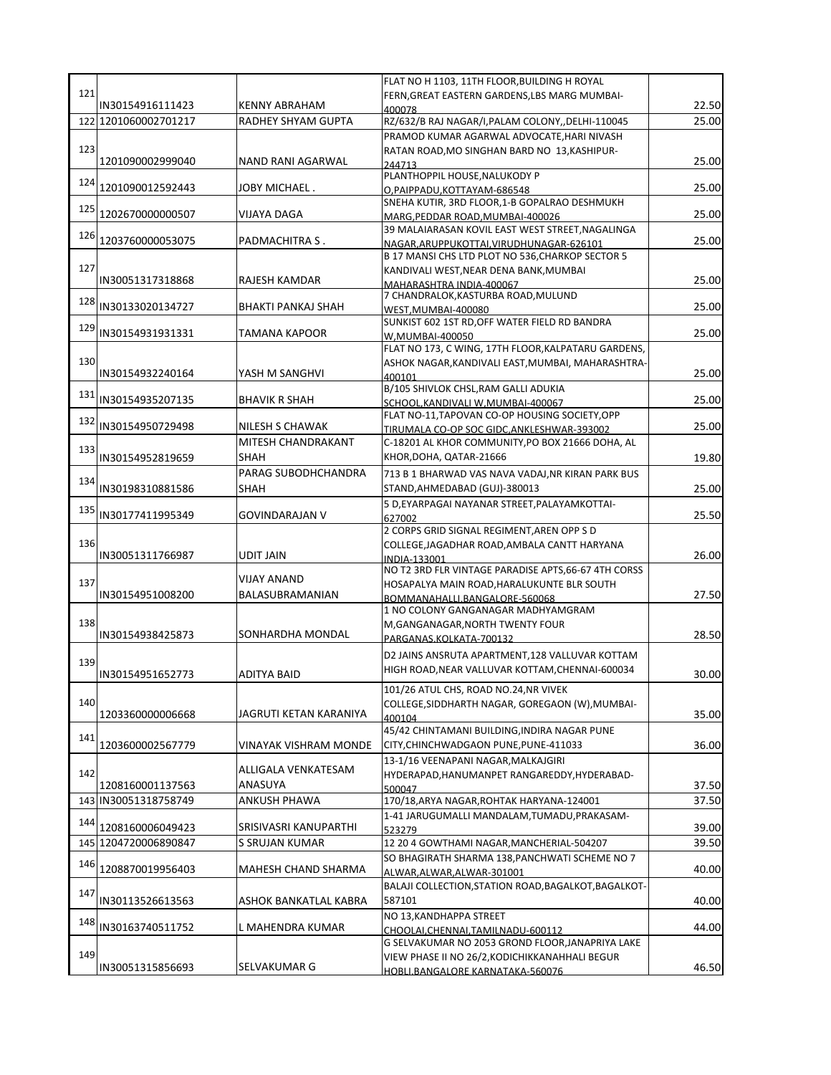|     |                      |                        | FLAT NO H 1103, 11TH FLOOR, BUILDING H ROYAL                                             |       |
|-----|----------------------|------------------------|------------------------------------------------------------------------------------------|-------|
| 121 |                      |                        | FERN, GREAT EASTERN GARDENS, LBS MARG MUMBAI-                                            |       |
|     | IN30154916111423     | <b>KENNY ABRAHAM</b>   | 400078                                                                                   | 22.50 |
|     | 122 1201060002701217 | RADHEY SHYAM GUPTA     | RZ/632/B RAJ NAGAR/I, PALAM COLONY, , DELHI-110045                                       | 25.00 |
|     |                      |                        | PRAMOD KUMAR AGARWAL ADVOCATE, HARI NIVASH                                               |       |
| 123 | 1201090002999040     | NAND RANI AGARWAL      | RATAN ROAD, MO SINGHAN BARD NO 13, KASHIPUR-                                             | 25.00 |
|     |                      |                        | 244713<br>PLANTHOPPIL HOUSE, NALUKODY P                                                  |       |
| 124 | 1201090012592443     | JOBY MICHAEL.          | O, PAIPPADU, KOTTAYAM-686548                                                             | 25.00 |
|     |                      |                        | SNEHA KUTIR, 3RD FLOOR, 1-B GOPALRAO DESHMUKH                                            |       |
| 125 | 1202670000000507     | VIJAYA DAGA            | MARG, PEDDAR ROAD, MUMBAI-400026                                                         | 25.00 |
| 126 |                      |                        | 39 MALAIARASAN KOVIL EAST WEST STREET, NAGALINGA                                         |       |
|     | 1203760000053075     | PADMACHITRA S.         | NAGAR.ARUPPUKOTTAI.VIRUDHUNAGAR-626101                                                   | 25.00 |
|     |                      |                        | B 17 MANSI CHS LTD PLOT NO 536, CHARKOP SECTOR 5                                         |       |
| 127 | IN30051317318868     | RAJESH KAMDAR          | KANDIVALI WEST, NEAR DENA BANK, MUMBAI                                                   | 25.00 |
|     |                      |                        | MAHARASHTRA INDIA-400067<br>7 CHANDRALOK, KASTURBA ROAD, MULUND                          |       |
| 128 | IN30133020134727     | BHAKTI PANKAJ SHAH     | WEST, MUMBAI-400080                                                                      | 25.00 |
|     |                      |                        | SUNKIST 602 1ST RD, OFF WATER FIELD RD BANDRA                                            |       |
| 129 | IN30154931931331     | TAMANA KAPOOR          | W, MUMBAI-400050                                                                         | 25.00 |
|     |                      |                        | FLAT NO 173, C WING, 17TH FLOOR, KALPATARU GARDENS,                                      |       |
| 130 |                      |                        | ASHOK NAGAR, KANDIVALI EAST, MUMBAI, MAHARASHTRA-                                        |       |
|     | IN30154932240164     | YASH M SANGHVI         | 400101                                                                                   | 25.00 |
| 131 |                      |                        | B/105 SHIVLOK CHSL, RAM GALLI ADUKIA                                                     |       |
|     | IN30154935207135     | <b>BHAVIK R SHAH</b>   | SCHOOL, KANDIVALI W, MUMBAI-400067                                                       | 25.00 |
| 132 | IN30154950729498     | <b>NILESH S CHAWAK</b> | FLAT NO-11, TAPOVAN CO-OP HOUSING SOCIETY, OPP                                           | 25.00 |
|     |                      |                        | TIRUMALA CO-OP SOC GIDC, ANKLESHWAR-393002                                               |       |
| 133 |                      | MITESH CHANDRAKANT     | C-18201 AL KHOR COMMUNITY, PO BOX 21666 DOHA, AL                                         |       |
|     | IN30154952819659     | <b>SHAH</b>            | KHOR, DOHA, QATAR-21666                                                                  | 19.80 |
| 134 |                      | PARAG SUBODHCHANDRA    | 713 B 1 BHARWAD VAS NAVA VADAJ, NR KIRAN PARK BUS                                        |       |
|     | IN30198310881586     | <b>SHAH</b>            | STAND, AHMEDABAD (GUJ)-380013                                                            | 25.00 |
| 135 |                      |                        | 5 D, EYARPAGAI NAYANAR STREET, PALAYAMKOTTAI-                                            |       |
|     | IN30177411995349     | <b>GOVINDARAJAN V</b>  | 627002                                                                                   | 25.50 |
|     |                      |                        | 2 CORPS GRID SIGNAL REGIMENT, AREN OPP S D                                               |       |
| 136 | IN30051311766987     | <b>UDIT JAIN</b>       | COLLEGE, JAGADHAR ROAD, AMBALA CANTT HARYANA                                             | 26.00 |
|     |                      |                        | INDIA-133001<br>NO T2 3RD FLR VINTAGE PARADISE APTS, 66-67 4TH CORSS                     |       |
| 137 |                      | <b>VIJAY ANAND</b>     | HOSAPALYA MAIN ROAD, HARALUKUNTE BLR SOUTH                                               |       |
|     | IN30154951008200     | BALASUBRAMANIAN        | BOMMANAHALLI.BANGALORE-560068                                                            | 27.50 |
|     |                      |                        | 1 NO COLONY GANGANAGAR MADHYAMGRAM                                                       |       |
| 138 |                      |                        | M, GANGANAGAR, NORTH TWENTY FOUR                                                         |       |
|     | IN30154938425873     | SONHARDHA MONDAL       | PARGANAS.KOLKATA-700132                                                                  | 28.50 |
|     |                      |                        | D2 JAINS ANSRUTA APARTMENT, 128 VALLUVAR KOTTAM                                          |       |
| 139 |                      | ADITYA BAID            | HIGH ROAD, NEAR VALLUVAR KOTTAM, CHENNAI-600034                                          | 30.00 |
|     | IN30154951652773     |                        |                                                                                          |       |
| 140 |                      |                        | 101/26 ATUL CHS, ROAD NO.24, NR VIVEK<br>COLLEGE, SIDDHARTH NAGAR, GOREGAON (W), MUMBAI- |       |
|     | 1203360000006668     | JAGRUTI KETAN KARANIYA | 400104                                                                                   | 35.00 |
|     |                      |                        | 45/42 CHINTAMANI BUILDING, INDIRA NAGAR PUNE                                             |       |
| 141 | 1203600002567779     | VINAYAK VISHRAM MONDE  | CITY, CHINCHWADGAON PUNE, PUNE-411033                                                    | 36.00 |
|     |                      |                        | 13-1/16 VEENAPANI NAGAR, MALKAJGIRI                                                      |       |
| 142 |                      | ALLIGALA VENKATESAM    | HYDERAPAD, HANUMANPET RANGAREDDY, HYDERABAD-                                             |       |
|     | 1208160001137563     | ANASUYA                | 500047                                                                                   | 37.50 |
|     | 143 IN30051318758749 | <b>ANKUSH PHAWA</b>    | 170/18, ARYA NAGAR, ROHTAK HARYANA-124001                                                | 37.50 |
|     |                      |                        | 1-41 JARUGUMALLI MANDALAM,TUMADU,PRAKASAM-                                               |       |
| 144 | 1208160006049423     | SRISIVASRI KANUPARTHI  | 523279                                                                                   | 39.00 |
|     | 145 1204720006890847 | S SRUJAN KUMAR         | 12 20 4 GOWTHAMI NAGAR, MANCHERIAL-504207                                                | 39.50 |
| 146 |                      |                        | SO BHAGIRATH SHARMA 138, PANCHWATI SCHEME NO 7                                           |       |
|     | 1208870019956403     | MAHESH CHAND SHARMA    | ALWAR, ALWAR, ALWAR-301001                                                               | 40.00 |
| 147 |                      |                        | BALAJI COLLECTION, STATION ROAD, BAGALKOT, BAGALKOT-                                     |       |
|     | IN30113526613563     | ASHOK BANKATLAL KABRA  | 587101                                                                                   | 40.00 |
| 148 |                      |                        | NO 13, KANDHAPPA STREET                                                                  |       |
|     | IN30163740511752     | L MAHENDRA KUMAR       | CHOOLAI, CHENNAI, TAMILNADU-600112                                                       | 44.00 |
|     |                      |                        | G SELVAKUMAR NO 2053 GROND FLOOR, JANAPRIYA LAKE                                         |       |
| 149 |                      |                        | VIEW PHASE II NO 26/2, KODICHIKKANAHHALI BEGUR                                           |       |
|     | IN30051315856693     | SELVAKUMAR G           | HOBLI.BANGALORE KARNATAKA-560076                                                         | 46.50 |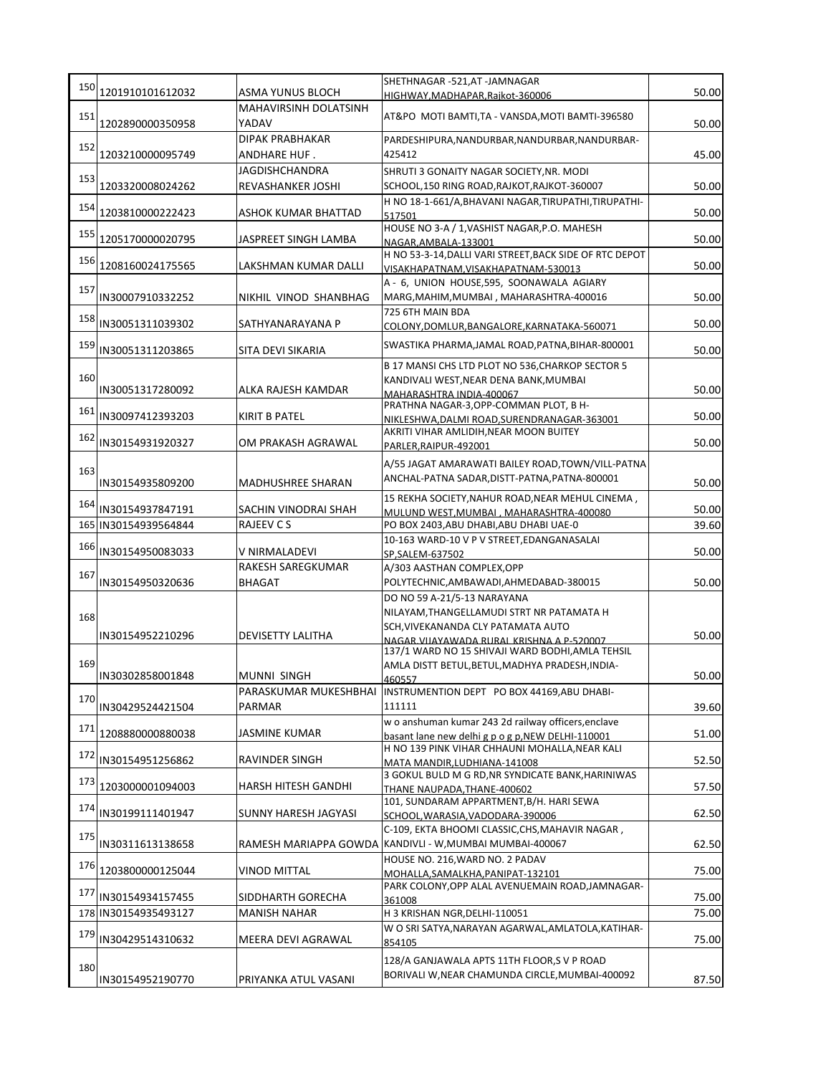| 150 |                      |                                                  | SHETHNAGAR -521,AT -JAMNAGAR                                                                        |       |
|-----|----------------------|--------------------------------------------------|-----------------------------------------------------------------------------------------------------|-------|
|     | 1201910101612032     | ASMA YUNUS BLOCH<br><b>MAHAVIRSINH DOLATSINH</b> | HIGHWAY, MADHAPAR, Rajkot-360006                                                                    | 50.00 |
| 151 | 1202890000350958     | YADAV                                            | AT&PO MOTI BAMTI, TA - VANSDA, MOTI BAMTI-396580                                                    | 50.00 |
|     |                      | <b>DIPAK PRABHAKAR</b>                           | PARDESHIPURA, NANDURBAR, NANDURBAR, NANDURBAR-                                                      |       |
| 152 | 1203210000095749     | ANDHARE HUF.                                     | 425412                                                                                              | 45.00 |
| 153 |                      | <b>JAGDISHCHANDRA</b>                            | SHRUTI 3 GONAITY NAGAR SOCIETY, NR. MODI                                                            |       |
|     | 1203320008024262     | REVASHANKER JOSHI                                | SCHOOL, 150 RING ROAD, RAJKOT, RAJKOT-360007                                                        | 50.00 |
| 154 |                      |                                                  | H NO 18-1-661/A, BHAVANI NAGAR, TIRUPATHI, TIRUPATHI-                                               |       |
|     | 1203810000222423     | ASHOK KUMAR BHATTAD                              | 517501                                                                                              | 50.00 |
| 155 | 1205170000020795     | JASPREET SINGH LAMBA                             | HOUSE NO 3-A / 1, VASHIST NAGAR, P.O. MAHESH<br>NAGAR.AMBALA-133001                                 | 50.00 |
|     |                      |                                                  | H NO 53-3-14, DALLI VARI STREET, BACK SIDE OF RTC DEPOT                                             |       |
| 156 | 1208160024175565     | LAKSHMAN KUMAR DALLI                             | VISAKHAPATNAM, VISAKHAPATNAM-530013                                                                 | 50.00 |
| 157 |                      |                                                  | A - 6, UNION HOUSE,595, SOONAWALA AGIARY                                                            |       |
|     | IN30007910332252     | NIKHIL VINOD SHANBHAG                            | MARG, MAHIM, MUMBAI, MAHARASHTRA-400016                                                             | 50.00 |
| 158 |                      |                                                  | 725 6TH MAIN BDA                                                                                    |       |
|     | IN30051311039302     | SATHYANARAYANA P                                 | COLONY, DOMLUR, BANGALORE, KARNATAKA-560071                                                         | 50.00 |
| 159 | IN30051311203865     | SITA DEVI SIKARIA                                | SWASTIKA PHARMA, JAMAL ROAD, PATNA, BIHAR-800001                                                    | 50.00 |
|     |                      |                                                  | B 17 MANSI CHS LTD PLOT NO 536, CHARKOP SECTOR 5                                                    |       |
| 160 |                      |                                                  | KANDIVALI WEST, NEAR DENA BANK, MUMBAI                                                              |       |
|     | IN30051317280092     | ALKA RAJESH KAMDAR                               | MAHARASHTRA INDIA-400067                                                                            | 50.00 |
| 161 | IN30097412393203     | <b>KIRIT B PATEL</b>                             | PRATHNA NAGAR-3, OPP-COMMAN PLOT, B H-                                                              | 50.00 |
|     |                      |                                                  | NIKLESHWA, DALMI ROAD, SURENDRANAGAR-363001<br>AKRITI VIHAR AMLIDIH, NEAR MOON BUITEY               |       |
| 162 | IN30154931920327     | OM PRAKASH AGRAWAL                               | PARLER, RAIPUR-492001                                                                               | 50.00 |
|     |                      |                                                  | A/55 JAGAT AMARAWATI BAILEY ROAD, TOWN/VILL-PATNA                                                   |       |
| 163 |                      |                                                  | ANCHAL-PATNA SADAR, DISTT-PATNA, PATNA-800001                                                       |       |
|     | IN30154935809200     | <b>MADHUSHREE SHARAN</b>                         |                                                                                                     | 50.00 |
| 164 | IN30154937847191     | SACHIN VINODRAI SHAH                             | 15 REKHA SOCIETY, NAHUR ROAD, NEAR MEHUL CINEMA,                                                    | 50.00 |
|     | 165 IN30154939564844 | <b>RAJEEV CS</b>                                 | MULUND WEST, MUMBAI, MAHARASHTRA-400080<br>PO BOX 2403, ABU DHABI, ABU DHABI UAE-0                  | 39.60 |
|     |                      |                                                  | 10-163 WARD-10 V P V STREET, EDANGANASALAI                                                          |       |
| 166 | IN30154950083033     | V NIRMALADEVI                                    | SP, SALEM-637502                                                                                    | 50.00 |
|     |                      | RAKESH SAREGKUMAR                                | A/303 AASTHAN COMPLEX, OPP                                                                          |       |
| 167 | IN30154950320636     | <b>BHAGAT</b>                                    | POLYTECHNIC, AMBAWADI, AHMEDABAD-380015                                                             | 50.00 |
|     |                      |                                                  | DO NO 59 A-21/5-13 NARAYANA                                                                         |       |
| 168 |                      |                                                  | NILAYAM, THANGELLAMUDI STRT NR PATAMATA H                                                           |       |
|     | IN30154952210296     | DEVISETTY LALITHA                                | SCH, VIVEKANANDA CLY PATAMATA AUTO                                                                  | 50.00 |
|     |                      |                                                  | NAGAR VIIAYAWADA RURAL KRISHNA A P-520007<br>137/1 WARD NO 15 SHIVAJI WARD BODHI, AMLA TEHSIL       |       |
| 169 |                      |                                                  | AMLA DISTT BETUL, BETUL, MADHYA PRADESH, INDIA-                                                     |       |
|     | IN30302858001848     | <b>MUNNI SINGH</b>                               | 460557                                                                                              | 50.00 |
| 170 |                      | PARASKUMAR MUKESHBHAI                            | INSTRUMENTION DEPT PO BOX 44169, ABU DHABI-                                                         |       |
|     | IN30429524421504     | PARMAR                                           | 111111                                                                                              | 39.60 |
| 171 | 1208880000880038     |                                                  | w o anshuman kumar 243 2d railway officers, enclave                                                 |       |
|     |                      | JASMINE KUMAR                                    | basant lane new delhi g p o g p, NEW DELHI-110001<br>H NO 139 PINK VIHAR CHHAUNI MOHALLA, NEAR KALI | 51.00 |
| 172 | IN30154951256862     | RAVINDER SINGH                                   | MATA MANDIR, LUDHIANA-141008                                                                        | 52.50 |
|     |                      |                                                  | 3 GOKUL BULD M G RD, NR SYNDICATE BANK, HARINIWAS                                                   |       |
| 173 | 1203000001094003     | HARSH HITESH GANDHI                              | THANE NAUPADA, THANE-400602                                                                         | 57.50 |
| 174 | IN30199111401947     | SUNNY HARESH JAGYASI                             | 101, SUNDARAM APPARTMENT, B/H. HARI SEWA                                                            | 62.50 |
|     |                      |                                                  | SCHOOL, WARASIA, VADODARA-390006<br>C-109, EKTA BHOOMI CLASSIC, CHS, MAHAVIR NAGAR,                 |       |
| 175 | IN30311613138658     | RAMESH MARIAPPA GOWDA                            | KANDIVLI - W, MUMBAI MUMBAI-400067                                                                  | 62.50 |
|     |                      |                                                  | HOUSE NO. 216, WARD NO. 2 PADAV                                                                     |       |
| 176 | 1203800000125044     | <b>VINOD MITTAL</b>                              | MOHALLA, SAMALKHA, PANIPAT-132101                                                                   | 75.00 |
| 177 |                      |                                                  | PARK COLONY, OPP ALAL AVENUEMAIN ROAD, JAMNAGAR-                                                    |       |
|     | IN30154934157455     | SIDDHARTH GORECHA                                | 361008                                                                                              | 75.00 |
|     | 178 IN30154935493127 | MANISH NAHAR                                     | H 3 KRISHAN NGR, DELHI-110051                                                                       | 75.00 |
| 179 | IN30429514310632     | MEERA DEVI AGRAWAL                               | W O SRI SATYA, NARAYAN AGARWAL, AMLATOLA, KATIHAR-                                                  | 75.00 |
|     |                      |                                                  | 854105                                                                                              |       |
| 180 |                      |                                                  | 128/A GANJAWALA APTS 11TH FLOOR, S V P ROAD                                                         |       |
|     | IN30154952190770     | PRIYANKA ATUL VASANI                             | BORIVALI W, NEAR CHAMUNDA CIRCLE, MUMBAI-400092                                                     | 87.50 |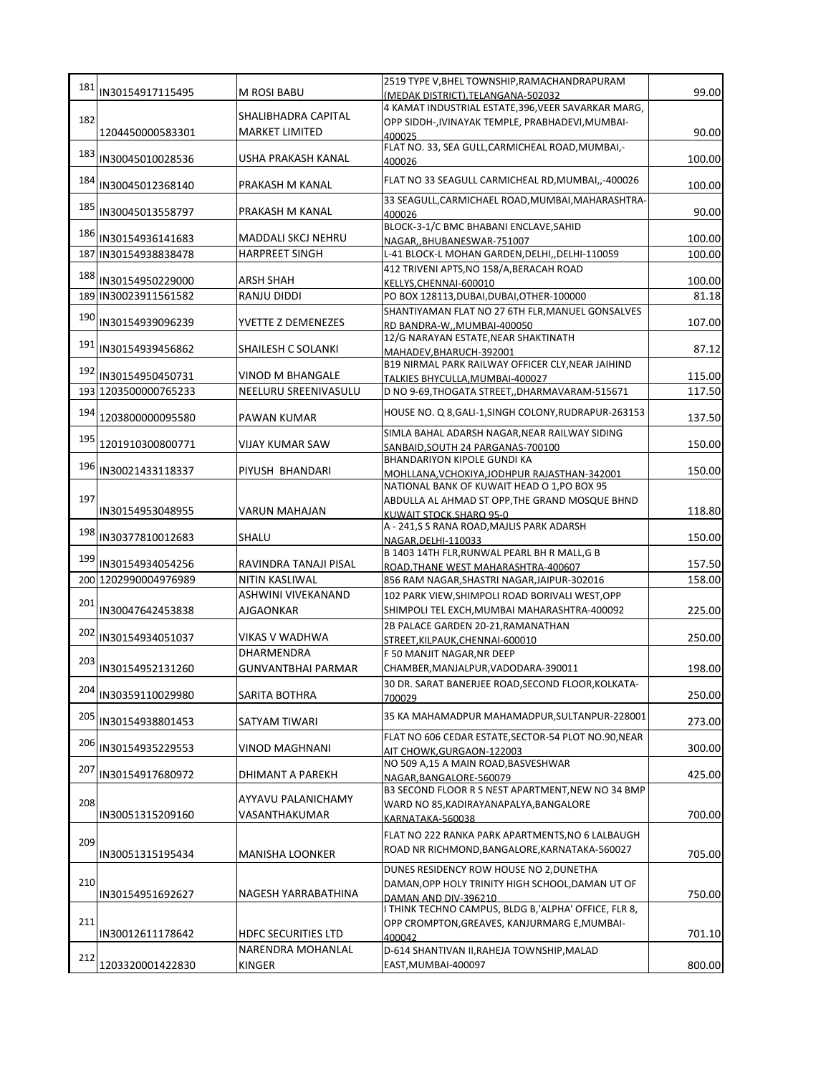| 181 | IN30154917115495     | M ROSI BABU                | 2519 TYPE V, BHEL TOWNSHIP, RAMACHANDRAPURAM                                                         | 99.00  |
|-----|----------------------|----------------------------|------------------------------------------------------------------------------------------------------|--------|
|     |                      |                            | (MEDAK DISTRICT), TELANGANA-502032<br>4 KAMAT INDUSTRIAL ESTATE, 396, VEER SAVARKAR MARG,            |        |
| 182 |                      | SHALIBHADRA CAPITAL        | OPP SIDDH-, IVINAYAK TEMPLE, PRABHADEVI, MUMBAI-                                                     |        |
|     | 1204450000583301     | <b>MARKET LIMITED</b>      | 400025                                                                                               | 90.00  |
| 183 |                      |                            | FLAT NO. 33, SEA GULL, CARMICHEAL ROAD, MUMBAI,-                                                     |        |
|     | IN30045010028536     | USHA PRAKASH KANAL         | 400026                                                                                               | 100.00 |
| 184 | IN30045012368140     | PRAKASH M KANAL            | FLAT NO 33 SEAGULL CARMICHEAL RD, MUMBAI, -400026                                                    | 100.00 |
|     |                      |                            | 33 SEAGULL, CARMICHAEL ROAD, MUMBAI, MAHARASHTRA-                                                    |        |
| 185 | IN30045013558797     | PRAKASH M KANAL            | 400026                                                                                               | 90.00  |
|     |                      |                            | BLOCK-3-1/C BMC BHABANI ENCLAVE, SAHID                                                               |        |
| 186 | IN30154936141683     | MADDALI SKCJ NEHRU         | NAGAR, BHUBANESWAR-751007                                                                            | 100.00 |
|     | 187 IN30154938838478 | <b>HARPREET SINGH</b>      | L-41 BLOCK-L MOHAN GARDEN, DELHI, , DELHI-110059                                                     | 100.00 |
| 188 |                      |                            | 412 TRIVENI APTS, NO 158/A, BERACAH ROAD                                                             |        |
|     | IN30154950229000     | <b>ARSH SHAH</b>           | KELLYS, CHENNAI-600010                                                                               | 100.00 |
|     | 189 IN30023911561582 | RANJU DIDDI                | PO BOX 128113, DUBAI, DUBAI, OTHER-100000                                                            | 81.18  |
| 190 | IN30154939096239     |                            | SHANTIYAMAN FLAT NO 27 6TH FLR, MANUEL GONSALVES                                                     | 107.00 |
|     |                      | YVETTE Z DEMENEZES         | RD BANDRA-W,, MUMBAI-400050<br>12/G NARAYAN ESTATE, NEAR SHAKTINATH                                  |        |
| 191 | IN30154939456862     | SHAILESH C SOLANKI         | MAHADEV, BHARUCH-392001                                                                              | 87.12  |
|     |                      |                            | B19 NIRMAL PARK RAILWAY OFFICER CLY, NEAR JAIHIND                                                    |        |
| 192 | IN30154950450731     | VINOD M BHANGALE           | TALKIES BHYCULLA, MUMBAI-400027                                                                      | 115.00 |
|     | 193 1203500000765233 | NEELURU SREENIVASULU       | D NO 9-69, THOGATA STREET, DHARMAVARAM-515671                                                        | 117.50 |
| 194 |                      |                            | HOUSE NO. Q 8, GALI-1, SINGH COLONY, RUDRAPUR-263153                                                 |        |
|     | 1203800000095580     | <b>PAWAN KUMAR</b>         |                                                                                                      | 137.50 |
| 195 |                      |                            | SIMLA BAHAL ADARSH NAGAR, NEAR RAILWAY SIDING                                                        |        |
|     | 1201910300800771     | <b>VIJAY KUMAR SAW</b>     | SANBAID, SOUTH 24 PARGANAS-700100                                                                    | 150.00 |
| 196 | IN30021433118337     | PIYUSH BHANDARI            | <b>BHANDARIYON KIPOLE GUNDI KA</b>                                                                   | 150.00 |
|     |                      |                            | MOHLLANA, VCHOKIYA, JODHPUR RAJASTHAN-342001<br>NATIONAL BANK OF KUWAIT HEAD O 1,PO BOX 95           |        |
| 197 |                      |                            | ABDULLA AL AHMAD ST OPP, THE GRAND MOSQUE BHND                                                       |        |
|     | IN30154953048955     | VARUN MAHAJAN              | KUWAIT STOCK SHARO 95-0                                                                              | 118.80 |
| 198 |                      |                            | A - 241,S S RANA ROAD, MAJLIS PARK ADARSH                                                            |        |
|     | IN30377810012683     | SHALU                      | NAGAR.DELHI-110033                                                                                   | 150.00 |
| 199 |                      |                            | B 1403 14TH FLR, RUNWAL PEARL BH R MALL, G B                                                         |        |
|     | IN30154934054256     | RAVINDRA TANAJI PISAL      | ROAD, THANE WEST MAHARASHTRA-400607                                                                  | 157.50 |
|     | 200 1202990004976989 | <b>NITIN KASLIWAL</b>      | 856 RAM NAGAR, SHASTRI NAGAR, JAIPUR-302016                                                          | 158.00 |
| 201 |                      | ASHWINI VIVEKANAND         | 102 PARK VIEW, SHIMPOLI ROAD BORIVALI WEST, OPP                                                      |        |
|     | IN30047642453838     | <b>AJGAONKAR</b>           | SHIMPOLI TEL EXCH, MUMBAI MAHARASHTRA-400092                                                         | 225.00 |
| 202 | IN30154934051037     | <b>VIKAS V WADHWA</b>      | 2B PALACE GARDEN 20-21, RAMANATHAN                                                                   | 250.00 |
|     |                      | <b>DHARMENDRA</b>          | STREET, KILPAUK, CHENNAI-600010                                                                      |        |
| 203 |                      | <b>GUNVANTBHAI PARMAR</b>  | F 50 MANJIT NAGAR, NR DEEP<br>CHAMBER, MANJALPUR, VADODARA-390011                                    |        |
|     | IN30154952131260     |                            |                                                                                                      | 198.00 |
| 204 | IN30359110029980     | SARITA BOTHRA              | 30 DR. SARAT BANERJEE ROAD,SECOND FLOOR,KOLKATA-<br>700029                                           | 250.00 |
|     |                      |                            |                                                                                                      |        |
| 205 | IN30154938801453     | SATYAM TIWARI              | 35 KA MAHAMADPUR MAHAMADPUR, SULTANPUR-228001                                                        | 273.00 |
|     |                      |                            | FLAT NO 606 CEDAR ESTATE, SECTOR-54 PLOT NO.90, NEAR                                                 |        |
| 206 | IN30154935229553     | <b>VINOD MAGHNANI</b>      | AIT CHOWK, GURGAON-122003                                                                            | 300.00 |
| 207 |                      |                            | NO 509 A,15 A MAIN ROAD, BASVESHWAR                                                                  |        |
|     | IN30154917680972     | DHIMANT A PAREKH           | NAGAR, BANGALORE-560079                                                                              | 425.00 |
| 208 |                      | AYYAVU PALANICHAMY         | B3 SECOND FLOOR R S NEST APARTMENT, NEW NO 34 BMP                                                    |        |
|     | IN30051315209160     | VASANTHAKUMAR              | WARD NO 85, KADIRAYANAPALYA, BANGALORE<br>KARNATAKA-560038                                           | 700.00 |
|     |                      |                            |                                                                                                      |        |
| 209 |                      |                            | FLAT NO 222 RANKA PARK APARTMENTS, NO 6 LALBAUGH                                                     |        |
|     | IN30051315195434     | <b>MANISHA LOONKER</b>     | ROAD NR RICHMOND, BANGALORE, KARNATAKA-560027                                                        | 705.00 |
|     |                      |                            | DUNES RESIDENCY ROW HOUSE NO 2, DUNETHA                                                              |        |
| 210 |                      |                            | DAMAN, OPP HOLY TRINITY HIGH SCHOOL, DAMAN UT OF                                                     |        |
|     | IN30154951692627     | NAGESH YARRABATHINA        | DAMAN AND DIV-396210                                                                                 | 750.00 |
| 211 |                      |                            | I THINK TECHNO CAMPUS, BLDG B,'ALPHA' OFFICE, FLR 8,<br>OPP CROMPTON, GREAVES, KANJURMARG E, MUMBAI- |        |
|     | IN30012611178642     | <b>HDFC SECURITIES LTD</b> | 400042                                                                                               | 701.10 |
|     |                      | NARENDRA MOHANLAL          | D-614 SHANTIVAN II, RAHEJA TOWNSHIP, MALAD                                                           |        |
| 212 | 1203320001422830     | <b>KINGER</b>              | EAST, MUMBAI-400097                                                                                  | 800.00 |
|     |                      |                            |                                                                                                      |        |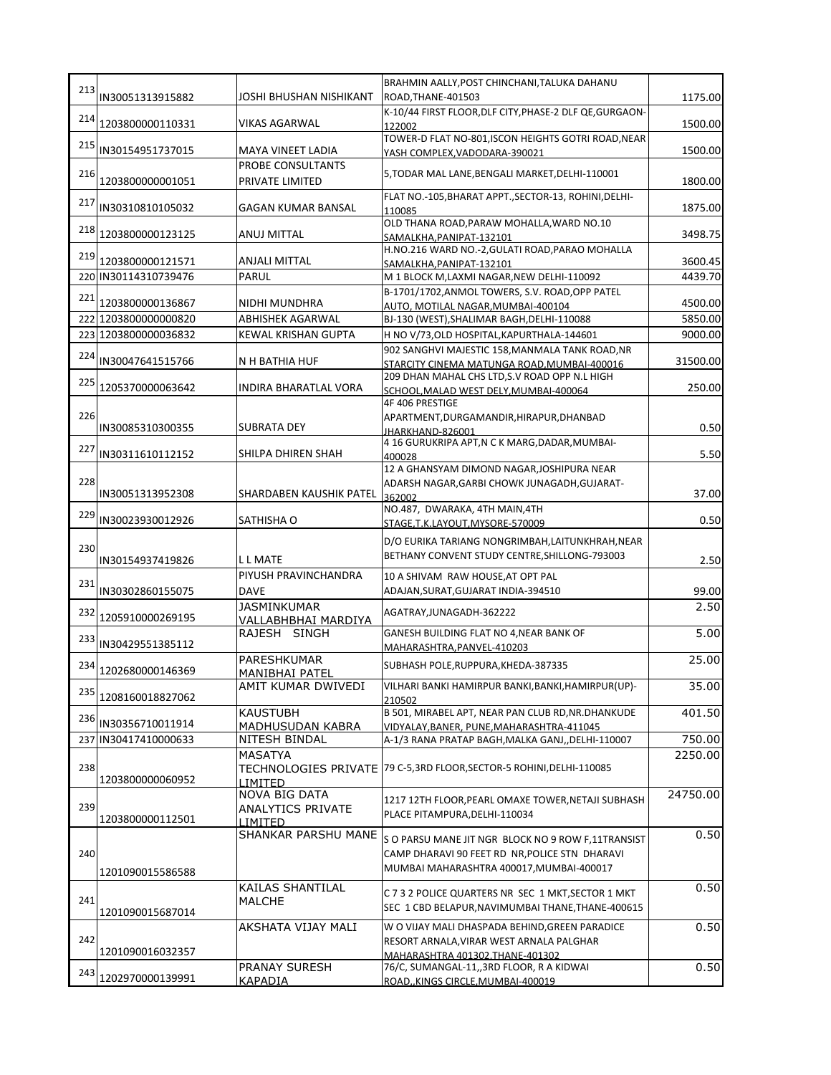|     |                      |                                               | BRAHMIN AALLY, POST CHINCHANI, TALUKA DAHANU                                                                                                     |          |
|-----|----------------------|-----------------------------------------------|--------------------------------------------------------------------------------------------------------------------------------------------------|----------|
| 213 | IN30051313915882     | JOSHI BHUSHAN NISHIKANT                       | ROAD, THANE-401503                                                                                                                               | 1175.00  |
|     | 214 1203800000110331 | <b>VIKAS AGARWAL</b>                          | K-10/44 FIRST FLOOR, DLF CITY, PHASE-2 DLF QE, GURGAON-<br>122002                                                                                | 1500.00  |
| 215 | IN30154951737015     | <b>MAYA VINEET LADIA</b>                      | TOWER-D FLAT NO-801, ISCON HEIGHTS GOTRI ROAD, NEAR<br>YASH COMPLEX, VADODARA-390021                                                             | 1500.00  |
| 216 | 1203800000001051     | PROBE CONSULTANTS<br>PRIVATE LIMITED          | 5, TODAR MAL LANE, BENGALI MARKET, DELHI-110001                                                                                                  | 1800.00  |
| 217 | IN30310810105032     | <b>GAGAN KUMAR BANSAL</b>                     | FLAT NO.-105, BHARAT APPT., SECTOR-13, ROHINI, DELHI-<br>110085                                                                                  | 1875.00  |
| 218 | 1203800000123125     | ANUJ MITTAL                                   | OLD THANA ROAD, PARAW MOHALLA, WARD NO.10<br>SAMALKHA, PANIPAT-132101                                                                            | 3498.75  |
| 219 | 1203800000121571     | ANJALI MITTAL                                 | H.NO.216 WARD NO.-2, GULATI ROAD, PARAO MOHALLA<br>SAMALKHA.PANIPAT-132101                                                                       | 3600.45  |
|     | 220 IN30114310739476 | <b>PARUL</b>                                  | M 1 BLOCK M, LAXMI NAGAR, NEW DELHI-110092                                                                                                       | 4439.70  |
| 221 | 1203800000136867     | NIDHI MUNDHRA                                 | B-1701/1702, ANMOL TOWERS, S.V. ROAD, OPP PATEL<br>AUTO, MOTILAL NAGAR, MUMBAI-400104                                                            | 4500.00  |
|     | 222 1203800000000820 | <b>ABHISHEK AGARWAL</b>                       | BJ-130 (WEST), SHALIMAR BAGH, DELHI-110088                                                                                                       | 5850.00  |
|     | 223 1203800000036832 | KEWAL KRISHAN GUPTA                           | H NO V/73, OLD HOSPITAL, KAPURTHALA-144601                                                                                                       | 9000.00  |
| 224 | IN30047641515766     | N H BATHIA HUF                                | 902 SANGHVI MAJESTIC 158, MANMALA TANK ROAD, NR<br>STARCITY CINEMA MATUNGA ROAD.MUMBAI-400016                                                    | 31500.00 |
| 225 |                      |                                               | 209 DHAN MAHAL CHS LTD, S.V ROAD OPP N.L HIGH                                                                                                    |          |
|     | 1205370000063642     | <b>INDIRA BHARATLAL VORA</b>                  | SCHOOL, MALAD WEST DELY, MUMBAI-400064<br>4F 406 PRESTIGE                                                                                        | 250.00   |
| 226 | IN30085310300355     | <b>SUBRATA DEY</b>                            | APARTMENT, DURGAMANDIR, HIRAPUR, DHANBAD<br>JHARKHAND-826001                                                                                     | 0.50     |
| 227 | IN30311610112152     | SHILPA DHIREN SHAH                            | 4 16 GURUKRIPA APT, N C K MARG, DADAR, MUMBAI-<br>400028                                                                                         | 5.50     |
| 228 | IN30051313952308     | SHARDABEN KAUSHIK PATEL                       | 12 A GHANSYAM DIMOND NAGAR, JOSHIPURA NEAR<br>ADARSH NAGAR, GARBI CHOWK JUNAGADH, GUJARAT-<br>362002                                             | 37.00    |
| 229 | IN30023930012926     | SATHISHA O                                    | NO.487, DWARAKA, 4TH MAIN, 4TH<br>STAGE, T.K.LAYOUT, MYSORE-570009                                                                               | 0.50     |
|     |                      |                                               |                                                                                                                                                  |          |
| 230 | IN30154937419826     | L L MATE                                      | D/O EURIKA TARIANG NONGRIMBAH, LAITUNKHRAH, NEAR<br>BETHANY CONVENT STUDY CENTRE, SHILLONG-793003                                                | 2.50     |
| 231 |                      | PIYUSH PRAVINCHANDRA                          | 10 A SHIVAM RAW HOUSE, AT OPT PAL                                                                                                                |          |
|     | IN30302860155075     | <b>DAVE</b>                                   | ADAJAN, SURAT, GUJARAT INDIA-394510                                                                                                              | 99.00    |
| 232 | 1205910000269195     | <b>JASMINKUMAR</b><br>VALLABHBHAI MARDIYA     | AGATRAY, JUNAGADH-362222                                                                                                                         | 2.50     |
| 233 | IN30429551385112     | RAJESH SINGH                                  | GANESH BUILDING FLAT NO 4, NEAR BANK OF<br>MAHARASHTRA, PANVEL-410203                                                                            | 5.00     |
| 234 | 1202680000146369     | <b>PARESHKUMAR</b><br><b>MANIBHAI PATEL</b>   | SUBHASH POLE, RUPPURA, KHEDA-387335                                                                                                              | 25.00    |
|     | 235 1208160018827062 | AMIT KUMAR DWIVEDI                            | VILHARI BANKI HAMIRPUR BANKI, BANKI, HAMIRPUR(UP)-<br>210502                                                                                     | 35.00    |
| 236 | IN30356710011914     | <b>KAUSTUBH</b><br><b>MADHUSUDAN KABRA</b>    | B 501, MIRABEL APT, NEAR PAN CLUB RD, NR. DHANKUDE<br>VIDYALAY, BANER, PUNE, MAHARASHTRA-411045                                                  | 401.50   |
|     | 237 IN30417410000633 | NITESH BINDAL                                 | A-1/3 RANA PRATAP BAGH,MALKA GANJ,,DELHI-110007                                                                                                  | 750.00   |
| 238 | 1203800000060952     | MASATYA<br>TECHNOLOGIES PRIVATE               | 79 C-5,3RD FLOOR, SECTOR-5 ROHINI, DELHI-110085                                                                                                  | 2250.00  |
| 239 | 1203800000112501     | LIMITED<br>NOVA BIG DATA<br>ANALYTICS PRIVATE | 1217 12TH FLOOR, PEARL OMAXE TOWER, NETAJI SUBHASH<br>PLACE PITAMPURA, DELHI-110034                                                              | 24750.00 |
| 240 | 1201090015586588     | <b>LIMITED</b><br>SHANKAR PARSHU MANE         | S O PARSU MANE JIT NGR BLOCK NO 9 ROW F,11TRANSIST<br>CAMP DHARAVI 90 FEET RD NR, POLICE STN DHARAVI<br>MUMBAI MAHARASHTRA 400017, MUMBAI-400017 | 0.50     |
| 241 | 1201090015687014     | KAILAS SHANTILAL<br><b>MALCHE</b>             | C 7 3 2 POLICE QUARTERS NR SEC 1 MKT, SECTOR 1 MKT<br>SEC 1 CBD BELAPUR, NAVIMUMBAI THANE, THANE-400615                                          | 0.50     |
| 242 | 1201090016032357     | AKSHATA VIJAY MALI                            | W O VIJAY MALI DHASPADA BEHIND, GREEN PARADICE<br>RESORT ARNALA, VIRAR WEST ARNALA PALGHAR<br>MAHARASHTRA 401302.THANE-401302                    | 0.50     |
| 243 | 1202970000139991     | PRANAY SURESH                                 | 76/C, SUMANGAL-11,,3RD FLOOR, R A KIDWAI                                                                                                         | 0.50     |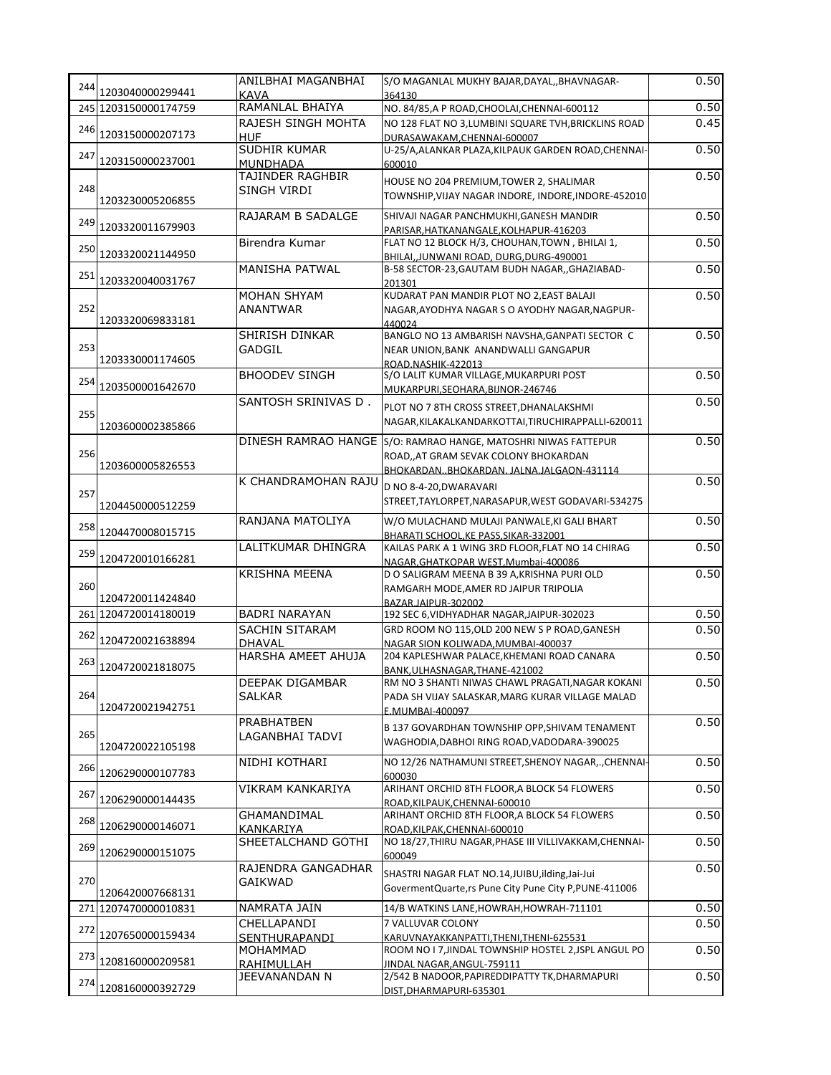| 244 |                      | ANILBHAI MAGANBHAI                    | S/O MAGANLAL MUKHY BAJAR, DAYAL, , BHAVNAGAR-                                                        | 0.50         |
|-----|----------------------|---------------------------------------|------------------------------------------------------------------------------------------------------|--------------|
|     | 1203040000299441     | <b>KAVA</b>                           | 364130                                                                                               |              |
|     | 245 1203150000174759 | RAMANLAL BHAIYA<br>RAJESH SINGH MOHTA | NO. 84/85, A P ROAD, CHOOLAI, CHENNAI-600112<br>NO 128 FLAT NO 3, LUMBINI SQUARE TVH, BRICKLINS ROAD | 0.50<br>0.45 |
| 246 | 1203150000207173     | <b>HUF</b>                            | DURASAWAKAM, CHENNAI-600007                                                                          |              |
| 247 |                      | SUDHIR KUMAR                          | U-25/A,ALANKAR PLAZA,KILPAUK GARDEN ROAD,CHENNAI-                                                    | 0.50         |
|     | 1203150000237001     | <b>MUNDHADA</b>                       | 600010                                                                                               |              |
| 248 |                      | TAJINDER RAGHBIR<br>SINGH VIRDI       | HOUSE NO 204 PREMIUM, TOWER 2, SHALIMAR                                                              | 0.50         |
|     | 1203230005206855     |                                       | TOWNSHIP, VIJAY NAGAR INDORE, INDORE, INDORE-452010                                                  |              |
| 249 |                      | RAJARAM B SADALGE                     | SHIVAJI NAGAR PANCHMUKHI.GANESH MANDIR                                                               | 0.50         |
|     | 1203320011679903     |                                       | PARISAR.HATKANANGALE.KOLHAPUR-416203                                                                 |              |
| 250 | 1203320021144950     | Birendra Kumar                        | FLAT NO 12 BLOCK H/3, CHOUHAN, TOWN, BHILAI 1,                                                       | 0.50         |
|     |                      | <b>MANISHA PATWAL</b>                 | BHILAI, JUNWANI ROAD, DURG, DURG-490001<br>B-58 SECTOR-23, GAUTAM BUDH NAGAR, GHAZIABAD-             | 0.50         |
| 251 | 1203320040031767     |                                       | 201301                                                                                               |              |
|     |                      | <b>MOHAN SHYAM</b>                    | KUDARAT PAN MANDIR PLOT NO 2, EAST BALAJI                                                            | 0.50         |
| 252 | 1203320069833181     | <b>ANANTWAR</b>                       | NAGAR, AYODHYA NAGAR S O AYODHY NAGAR, NAGPUR-                                                       |              |
|     |                      | SHIRISH DINKAR                        | 440024<br>BANGLO NO 13 AMBARISH NAVSHA, GANPATI SECTOR C                                             | 0.50         |
| 253 |                      | GADGIL                                | NEAR UNION, BANK ANANDWALLI GANGAPUR                                                                 |              |
|     | 1203330001174605     |                                       | ROAD.NASHIK-422013                                                                                   |              |
| 254 |                      | <b>BHOODEV SINGH</b>                  | S/O LALIT KUMAR VILLAGE, MUKARPURI POST                                                              | 0.50         |
|     | 1203500001642670     |                                       | MUKARPURI, SEOHARA, BIJNOR-246746                                                                    |              |
| 255 |                      | SANTOSH SRINIVAS D.                   | PLOT NO 7 8TH CROSS STREET, DHANALAKSHMI                                                             | 0.50         |
|     | 1203600002385866     |                                       | NAGAR, KILAKALKANDARKOTTAI, TIRUCHIRAPPALLI-620011                                                   |              |
|     |                      |                                       | DINESH RAMRAO HANGE S/O: RAMRAO HANGE, MATOSHRI NIWAS FATTEPUR                                       | 0.50         |
| 256 |                      |                                       | ROAD, AT GRAM SEVAK COLONY BHOKARDAN                                                                 |              |
|     | 1203600005826553     |                                       | BHOKARDANBHOKARDAN.JALNA.JALGAON-431114                                                              |              |
|     |                      | K CHANDRAMOHAN RAJU                   | D NO 8-4-20, DWARAVARI                                                                               | 0.50         |
| 257 | 1204450000512259     |                                       | STREET, TAYLORPET, NARASAPUR, WEST GODAVARI-534275                                                   |              |
|     |                      | RANJANA MATOLIYA                      | W/O MULACHAND MULAJI PANWALE, KI GALI BHART                                                          | 0.50         |
| 258 | 1204470008015715     |                                       | BHARATI SCHOOL, KE PASS, SIKAR-332001                                                                |              |
| 259 |                      | LALITKUMAR DHINGRA                    | KAILAS PARK A 1 WING 3RD FLOOR, FLAT NO 14 CHIRAG                                                    | 0.50         |
|     | 1204720010166281     |                                       | NAGAR, GHATKOPAR WEST, Mumbai-400086                                                                 |              |
| 260 |                      | <b>KRISHNA MEENA</b>                  | D O SALIGRAM MEENA B 39 A, KRISHNA PURI OLD                                                          | 0.50         |
|     | 1204720011424840     |                                       | RAMGARH MODE, AMER RD JAIPUR TRIPOLIA<br>BAZAR.JAIPUR-302002                                         |              |
|     | 261 1204720014180019 | <b>BADRI NARAYAN</b>                  | 192 SEC 6, VIDHYADHAR NAGAR, JAIPUR-302023                                                           | 0.50         |
|     |                      | <b>SACHIN SITARAM</b>                 | GRD ROOM NO 115, OLD 200 NEW S P ROAD, GANESH                                                        | 0.50         |
| 262 | 1204720021638894     | <b>DHAVAL</b>                         | NAGAR SION KOLIWADA, MUMBAI-400037                                                                   |              |
|     |                      | HARSHA AMEET AHUJA                    | 204 KAPLESHWAR PALACE, KHEMANI ROAD CANARA                                                           | 0.50         |
|     | 263 1204720021818075 | DEEPAK DIGAMBAR                       | BANK, ULHASNAGAR, THANE-421002                                                                       | 0.50         |
| 264 |                      | <b>SALKAR</b>                         | RM NO 3 SHANTI NIWAS CHAWL PRAGATI, NAGAR KOKANI<br>PADA SH VIJAY SALASKAR, MARG KURAR VILLAGE MALAD |              |
|     | 1204720021942751     |                                       | E.MUMBAI-400097                                                                                      |              |
|     |                      | <b>PRABHATBEN</b>                     | B 137 GOVARDHAN TOWNSHIP OPP, SHIVAM TENAMENT                                                        | 0.50         |
| 265 |                      | LAGANBHAI TADVI                       | WAGHODIA, DABHOI RING ROAD, VADODARA-390025                                                          |              |
|     | 1204720022105198     |                                       |                                                                                                      |              |
| 266 | 1206290000107783     | NIDHI KOTHARI                         | NO 12/26 NATHAMUNI STREET, SHENOY NAGAR,., CHENNAI-<br>600030                                        | 0.50         |
|     |                      | <b>VIKRAM KANKARIYA</b>               | ARIHANT ORCHID 8TH FLOOR, A BLOCK 54 FLOWERS                                                         | 0.50         |
| 267 | 1206290000144435     |                                       | ROAD, KILPAUK, CHENNAI-600010                                                                        |              |
| 268 |                      | GHAMANDIMAL                           | ARIHANT ORCHID 8TH FLOOR, A BLOCK 54 FLOWERS                                                         | 0.50         |
|     | 1206290000146071     | <b>KANKARIYA</b>                      | ROAD, KILPAK, CHENNAI-600010                                                                         |              |
| 269 | 1206290000151075     | SHEETALCHAND GOTHI                    | NO 18/27, THIRU NAGAR, PHASE III VILLIVAKKAM, CHENNAI-                                               | 0.50         |
|     |                      | RAJENDRA GANGADHAR                    | 600049                                                                                               | 0.50         |
| 270 |                      | GAIKWAD                               | SHASTRI NAGAR FLAT NO.14, JUIBU, ilding, Jai-Jui                                                     |              |
|     | 1206420007668131     |                                       | GovermentQuarte,rs Pune City Pune City P,PUNE-411006                                                 |              |
|     | 271 1207470000010831 | NAMRATA JAIN                          | 14/B WATKINS LANE, HOWRAH, HOWRAH-711101                                                             | 0.50         |
| 272 |                      | CHELLAPANDI                           | 7 VALLUVAR COLONY                                                                                    | 0.50         |
|     | 1207650000159434     | SENTHURAPANDI<br>MOHAMMAD             | KARUVNAYAKKANPATTI, THENI, THENI-625531                                                              | 0.50         |
| 273 | 1208160000209581     | RAHIMULLAH                            | ROOM NO I 7, JINDAL TOWNSHIP HOSTEL 2, JSPL ANGUL PO<br>JINDAL NAGAR,ANGUL-759111                    |              |
|     |                      | JEEVANANDAN N                         | 2/542 B NADOOR, PAPIREDDIPATTY TK, DHARMAPURI                                                        | 0.50         |
| 274 | 1208160000392729     |                                       | DIST, DHARMAPURI-635301                                                                              |              |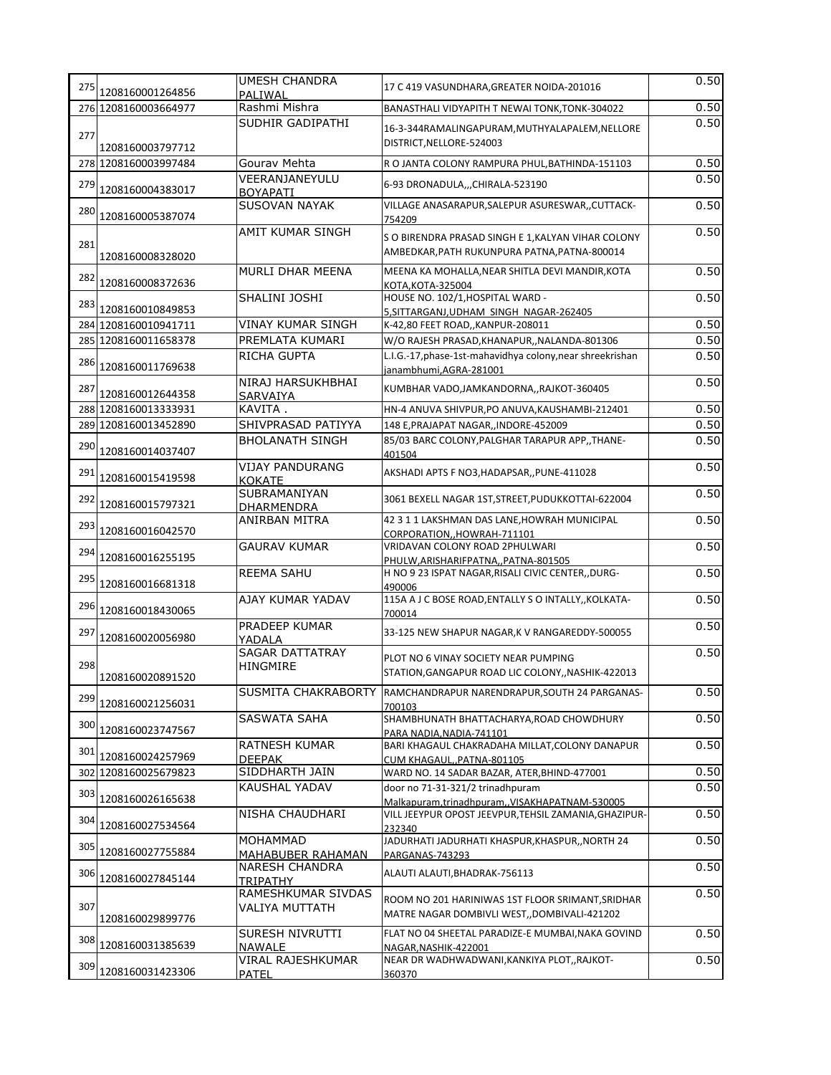| 275 | 1208160001264856     | <b>UMESH CHANDRA</b><br>PALIWAL           | 17 C 419 VASUNDHARA, GREATER NOIDA-201016                                                          | 0.50 |
|-----|----------------------|-------------------------------------------|----------------------------------------------------------------------------------------------------|------|
|     | 276 1208160003664977 | Rashmi Mishra                             | BANASTHALI VIDYAPITH T NEWAI TONK, TONK-304022                                                     | 0.50 |
| 277 | 1208160003797712     | SUDHIR GADIPATHI                          | 16-3-344RAMALINGAPURAM, MUTHYALAPALEM, NELLORE<br>DISTRICT, NELLORE-524003                         | 0.50 |
|     | 278 1208160003997484 | Gourav Mehta                              | R O JANTA COLONY RAMPURA PHUL, BATHINDA-151103                                                     | 0.50 |
| 279 | 1208160004383017     | VEERANJANEYULU<br><b>BOYAPATI</b>         | 6-93 DRONADULA,,,CHIRALA-523190                                                                    | 0.50 |
| 280 | 1208160005387074     | <b>SUSOVAN NAYAK</b>                      | VILLAGE ANASARAPUR, SALEPUR ASURESWAR,, CUTTACK-<br>754209                                         | 0.50 |
| 281 | 1208160008328020     | AMIT KUMAR SINGH                          | S O BIRENDRA PRASAD SINGH E 1, KALYAN VIHAR COLONY<br>AMBEDKAR, PATH RUKUNPURA PATNA, PATNA-800014 | 0.50 |
| 282 | 1208160008372636     | MURLI DHAR MEENA                          | MEENA KA MOHALLA, NEAR SHITLA DEVI MANDIR, KOTA<br>KOTA, KOTA-325004                               | 0.50 |
| 283 | 1208160010849853     | SHALINI JOSHI                             | HOUSE NO. 102/1, HOSPITAL WARD -<br>5, SITTARGANJ, UDHAM SINGH NAGAR-262405                        | 0.50 |
|     | 284 1208160010941711 | <b>VINAY KUMAR SINGH</b>                  | K-42,80 FEET ROAD,, KANPUR-208011                                                                  | 0.50 |
|     | 285 1208160011658378 | PREMLATA KUMARI                           | W/O RAJESH PRASAD, KHANAPUR, , NALANDA-801306                                                      | 0.50 |
| 286 | 1208160011769638     | RICHA GUPTA                               | L.I.G.-17, phase-1st-mahavidhya colony, near shreekrishan                                          | 0.50 |
| 287 | 1208160012644358     | NIRAJ HARSUKHBHAI<br>SARVAIYA             | janambhumi, AGRA-281001<br>KUMBHAR VADO, JAMKANDORNA, ,RAJKOT-360405                               | 0.50 |
|     | 288 1208160013333931 | KAVITA.                                   | HN-4 ANUVA SHIVPUR, PO ANUVA, KAUSHAMBI-212401                                                     | 0.50 |
|     | 289 1208160013452890 | SHIVPRASAD PATIYYA                        | 148 E, PRAJAPAT NAGAR, , INDORE-452009                                                             | 0.50 |
| 290 | 1208160014037407     | <b>BHOLANATH SINGH</b>                    | 85/03 BARC COLONY, PALGHAR TARAPUR APP,, THANE-<br>401504                                          | 0.50 |
| 291 | 1208160015419598     | <b>VIJAY PANDURANG</b><br><b>KOKATE</b>   | AKSHADI APTS F NO3, HADAPSAR,, PUNE-411028                                                         | 0.50 |
| 292 | 1208160015797321     | <b>SUBRAMANIYAN</b><br><b>DHARMENDRA</b>  | 3061 BEXELL NAGAR 1ST, STREET, PUDUKKOTTAI-622004                                                  | 0.50 |
| 293 | 1208160016042570     | <b>ANIRBAN MITRA</b>                      | 42 3 1 1 LAKSHMAN DAS LANE, HOWRAH MUNICIPAL<br>CORPORATION, HOWRAH-711101                         | 0.50 |
| 294 | 1208160016255195     | <b>GAURAV KUMAR</b>                       | VRIDAVAN COLONY ROAD 2PHULWARI<br>PHULW, ARISHARIFPATNA, PATNA-801505                              | 0.50 |
| 295 | 1208160016681318     | <b>REEMA SAHU</b>                         | H NO 9 23 ISPAT NAGAR, RISALI CIVIC CENTER, , DURG-<br>490006                                      | 0.50 |
| 296 | 1208160018430065     | AJAY KUMAR YADAV                          | 115A A J C BOSE ROAD, ENTALLY S O INTALLY, KOLKATA-<br>700014                                      | 0.50 |
| 297 | 1208160020056980     | PRADEEP KUMAR<br>YADALA                   | 33-125 NEW SHAPUR NAGAR, K V RANGAREDDY-500055                                                     | 0.50 |
| 298 | 1208160020891520     | <b>SAGAR DATTATRAY</b><br><b>HINGMIRE</b> | PLOT NO 6 VINAY SOCIETY NEAR PUMPING<br>STATION, GANGAPUR ROAD LIC COLONY, , NASHIK-422013         | 0.50 |
| 299 | 1208160021256031     | SUSMITA CHAKRABORTY                       | RAMCHANDRAPUR NARENDRAPUR, SOUTH 24 PARGANAS-<br>700103                                            | 0.50 |
| 300 | 1208160023747567     | <b>SASWATA SAHA</b>                       | SHAMBHUNATH BHATTACHARYA, ROAD CHOWDHURY<br>PARA NADIA.NADIA-741101                                | 0.50 |
| 301 | 1208160024257969     | <b>RATNESH KUMAR</b><br><b>DEEPAK</b>     | BARI KHAGAUL CHAKRADAHA MILLAT, COLONY DANAPUR<br>CUM KHAGAULPATNA-801105                          | 0.50 |
|     | 302 1208160025679823 | SIDDHARTH JAIN                            | WARD NO. 14 SADAR BAZAR, ATER, BHIND-477001                                                        | 0.50 |
| 303 | 1208160026165638     | <b>KAUSHAL YADAV</b>                      | door no 71-31-321/2 trinadhpuram<br>Malkapuram.trinadhpuramVISAKHAPATNAM-530005                    | 0.50 |
| 304 | 1208160027534564     | NISHA CHAUDHARI                           | VILL JEEYPUR OPOST JEEVPUR, TEHSIL ZAMANIA, GHAZIPUR-<br>232340                                    | 0.50 |
| 305 | 1208160027755884     | MOHAMMAD<br>MAHABUBER RAHAMAN             | JADURHATI JADURHATI KHASPUR, KHASPUR, NORTH 24<br>PARGANAS-743293                                  | 0.50 |
| 306 | 1208160027845144     | <b>NARESH CHANDRA</b><br>TRIPATHY         | ALAUTI ALAUTI, BHADRAK-756113                                                                      | 0.50 |
| 307 | 1208160029899776     | RAMESHKUMAR SIVDAS<br>VALIYA MUTTATH      | ROOM NO 201 HARINIWAS 1ST FLOOR SRIMANT, SRIDHAR<br>MATRE NAGAR DOMBIVLI WEST, DOMBIVALI-421202    | 0.50 |
| 308 | 1208160031385639     | SURESH NIVRUTTI<br><b>NAWALE</b>          | FLAT NO 04 SHEETAL PARADIZE-E MUMBAI, NAKA GOVIND<br>NAGAR, NASHIK-422001                          | 0.50 |
| 309 | 1208160031423306     | <b>VIRAL RAJESHKUMAR</b><br>PATEL         | NEAR DR WADHWADWANI, KANKIYA PLOT, , RAJKOT-<br>360370                                             | 0.50 |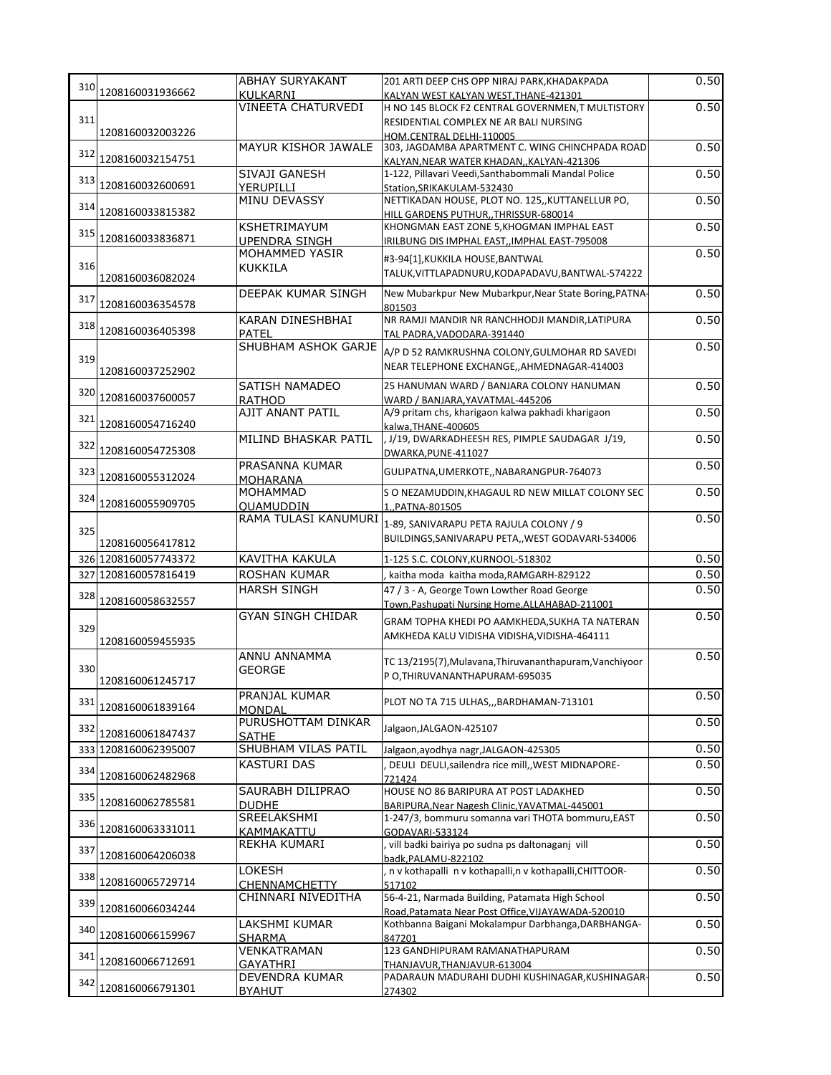|     |                      | <b>ABHAY SURYAKANT</b>                       | 201 ARTI DEEP CHS OPP NIRAJ PARK, KHADAKPADA                                                          | 0.50         |
|-----|----------------------|----------------------------------------------|-------------------------------------------------------------------------------------------------------|--------------|
|     | 310 1208160031936662 | <b>KULKARNI</b><br><b>VINEETA CHATURVEDI</b> | KALYAN WEST KALYAN WEST.THANE-421301<br>H NO 145 BLOCK F2 CENTRAL GOVERNMEN, T MULTISTORY             | 0.50         |
| 311 |                      |                                              | RESIDENTIAL COMPLEX NE AR BALI NURSING                                                                |              |
|     | 1208160032003226     |                                              | HOM.CENTRAL DELHI-110005                                                                              |              |
| 312 | 1208160032154751     | MAYUR KISHOR JAWALE                          | 303, JAGDAMBA APARTMENT C. WING CHINCHPADA ROAD                                                       | 0.50         |
|     |                      | SIVAJI GANESH                                | KALYAN, NEAR WATER KHADAN, , KALYAN-421306<br>1-122, Pillavari Veedi, Santhabommali Mandal Police     | 0.50         |
|     | 313 1208160032600691 | YERUPILLI                                    | Station, SRIKAKULAM-532430                                                                            |              |
| 314 | 1208160033815382     | <b>MINU DEVASSY</b>                          | NETTIKADAN HOUSE, PLOT NO. 125,, KUTTANELLUR PO,<br>HILL GARDENS PUTHURTHRISSUR-680014                | 0.50         |
|     |                      | KSHETRIMAYUM                                 | KHONGMAN EAST ZONE 5, KHOGMAN IMPHAL EAST                                                             | 0.50         |
| 315 | 1208160033836871     | <b>UPENDRA SINGH</b>                         | IRILBUNG DIS IMPHAL EAST,, IMPHAL EAST-795008                                                         |              |
| 316 |                      | MOHAMMED YASIR<br><b>KUKKILA</b>             | #3-94[1], KUKKILA HOUSE, BANTWAL                                                                      | 0.50         |
|     | 1208160036082024     |                                              | TALUK, VITTLAPADNURU, KODAPADAVU, BANTWAL-574222                                                      |              |
| 317 | 1208160036354578     | DEEPAK KUMAR SINGH                           | New Mubarkpur New Mubarkpur, Near State Boring, PATNA                                                 | 0.50         |
|     |                      | KARAN DINESHBHAI                             | 801503<br>NR RAMJI MANDIR NR RANCHHODJI MANDIR, LATIPURA                                              | 0.50         |
| 318 | 1208160036405398     | PATEL                                        | TAL PADRA, VADODARA-391440                                                                            |              |
|     |                      | SHUBHAM ASHOK GARJE                          | A/P D 52 RAMKRUSHNA COLONY, GULMOHAR RD SAVEDI                                                        | 0.50         |
| 319 | 1208160037252902     |                                              | NEAR TELEPHONE EXCHANGE,, AHMEDNAGAR-414003                                                           |              |
|     |                      | SATISH NAMADEO                               | 25 HANUMAN WARD / BANJARA COLONY HANUMAN                                                              | 0.50         |
|     | 320 1208160037600057 | <b>RATHOD</b>                                | WARD / BANJARA, YAVATMAL-445206                                                                       |              |
| 321 | 1208160054716240     | AJIT ANANT PATIL                             | A/9 pritam chs, kharigaon kalwa pakhadi kharigaon<br>kalwa, THANE-400605                              | 0.50         |
| 322 |                      | MILIND BHASKAR PATIL                         | , J/19, DWARKADHEESH RES, PIMPLE SAUDAGAR J/19,                                                       | 0.50         |
|     | 1208160054725308     |                                              | DWARKA, PUNE-411027                                                                                   |              |
|     | 323 1208160055312024 | PRASANNA KUMAR<br>MOHARANA                   | GULIPATNA, UMERKOTE,, NABARANGPUR-764073                                                              | 0.50         |
|     |                      | <b>MOHAMMAD</b>                              | S O NEZAMUDDIN, KHAGAUL RD NEW MILLAT COLONY SEC                                                      | 0.50         |
|     | 324 1208160055909705 | QUAMUDDIN                                    | 1,,PATNA-801505                                                                                       |              |
| 325 |                      | RAMA TULASI KANUMURI                         | 1-89, SANIVARAPU PETA RAJULA COLONY / 9                                                               | 0.50         |
|     | 1208160056417812     |                                              | BUILDINGS, SANIVARAPU PETA,, WEST GODAVARI-534006                                                     |              |
|     | 326 1208160057743372 | KAVITHA KAKULA                               | 1-125 S.C. COLONY, KURNOOL-518302                                                                     | 0.50         |
|     | 327 1208160057816419 | <b>ROSHAN KUMAR</b><br><b>HARSH SINGH</b>    | kaitha moda kaitha moda, RAMGARH-829122<br>47 / 3 - A, George Town Lowther Road George                | 0.50<br>0.50 |
| 328 | 1208160058632557     |                                              | Town, Pashupati Nursing Home, ALLAHABAD-211001                                                        |              |
|     |                      | <b>GYAN SINGH CHIDAR</b>                     | GRAM TOPHA KHEDI PO AAMKHEDA, SUKHA TA NATERAN                                                        | 0.50         |
| 329 | 1208160059455935     |                                              | AMKHEDA KALU VIDISHA VIDISHA, VIDISHA-464111                                                          |              |
|     |                      | ANNU ANNAMMA                                 | TC 13/2195(7), Mulavana, Thiruvananthapuram, Vanchiyoor                                               | 0.50         |
| 330 | 1208160061245717     | GEORGE                                       | P O, THIRUVANANTHAPURAM-695035                                                                        |              |
|     |                      | PRANJAL KUMAR                                |                                                                                                       | 0.50         |
| 331 | 1208160061839164     | <b>MONDAL</b>                                | PLOT NO TA 715 ULHAS,,, BARDHAMAN-713101                                                              |              |
| 332 | 1208160061847437     | PURUSHOTTAM DINKAR                           | Jalgaon, JALGAON-425107                                                                               | 0.50         |
|     | 333 1208160062395007 | <b>SATHE</b><br>SHUBHAM VILAS PATIL          | Jalgaon, ayodhya nagr, JALGAON-425305                                                                 | 0.50         |
|     |                      | <b>KASTURI DAS</b>                           | DEULI DEULI, sailendra rice mill, WEST MIDNAPORE-                                                     | 0.50         |
| 334 | 1208160062482968     |                                              | 721424                                                                                                |              |
| 335 | 1208160062785581     | SAURABH DILIPRAO<br><b>DUDHE</b>             | HOUSE NO 86 BARIPURA AT POST LADAKHED<br>BARIPURA, Near Nagesh Clinic, YAVATMAL-445001                | 0.50         |
| 336 |                      | SREELAKSHMI                                  | 1-247/3, bommuru somanna vari THOTA bommuru, EAST                                                     | 0.50         |
|     | 1208160063331011     | KAMMAKATTU                                   | GODAVARI-533124                                                                                       |              |
| 337 | 1208160064206038     | REKHA KUMARI                                 | vill badki bairiya po sudna ps daltonaganj vill<br>badk, PALAMU-822102                                | 0.50         |
| 338 |                      | LOKESH                                       | n v kothapalli n v kothapalli, n v kothapalli, CHITTOOR-                                              | 0.50         |
|     | 1208160065729714     | <b>CHENNAMCHETTY</b>                         | 517102                                                                                                |              |
|     | 339 1208160066034244 | CHINNARI NIVEDITHA                           | 56-4-21, Narmada Building, Patamata High School<br>Road, Patamata Near Post Office, VIJAYAWADA-520010 | 0.50         |
|     |                      | LAKSHMI KUMAR                                | Kothbanna Baigani Mokalampur Darbhanga, DARBHANGA-                                                    | 0.50         |
|     | 340 1208160066159967 | SHARMA                                       | 847201                                                                                                | 0.50         |
| 341 | 1208160066712691     | VENKATRAMAN<br>GAYATHRI                      | 123 GANDHIPURAM RAMANATHAPURAM<br>THANJAVUR, THANJAVUR-613004                                         |              |
| 342 |                      | DEVENDRA KUMAR                               | PADARAUN MADURAHI DUDHI KUSHINAGAR, KUSHINAGAR-                                                       | 0.50         |
|     | 1208160066791301     | <b>BYAHUT</b>                                | 274302                                                                                                |              |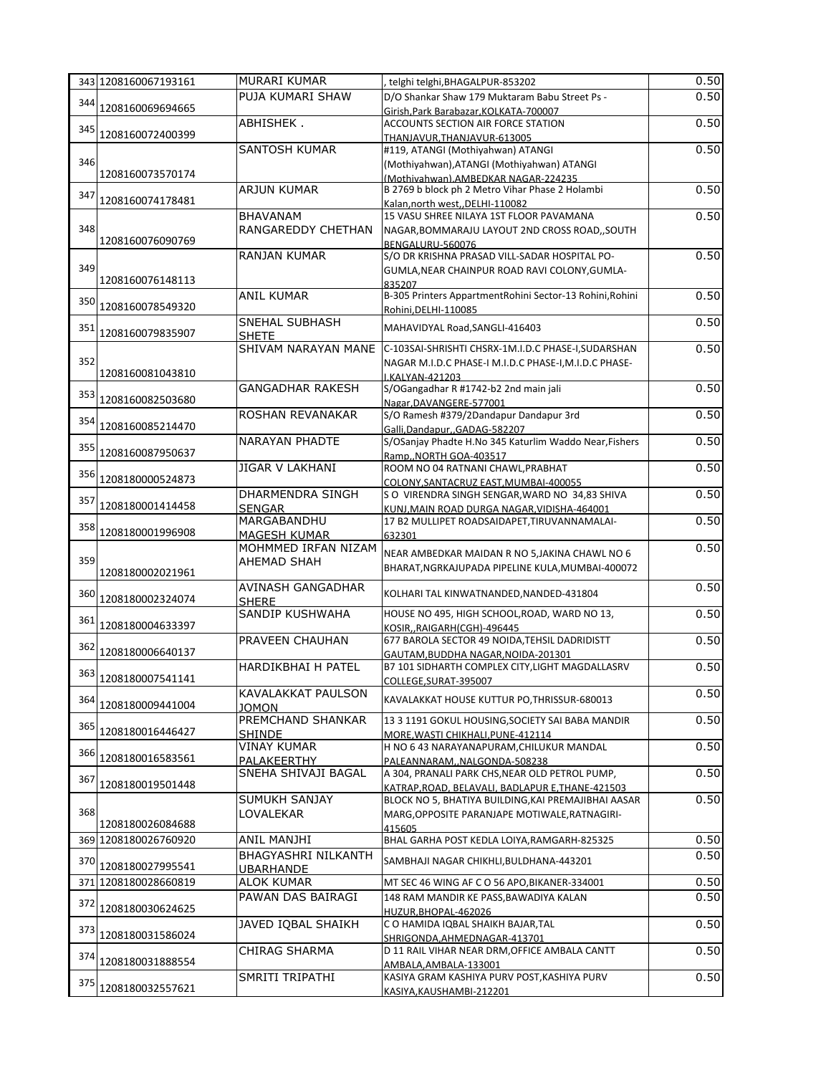|     | 343 1208160067193161 | MURARI KUMAR                             | telghi telghi, BHAGALPUR-853202                                                        | 0.50 |
|-----|----------------------|------------------------------------------|----------------------------------------------------------------------------------------|------|
|     |                      | PUJA KUMARI SHAW                         | D/O Shankar Shaw 179 Muktaram Babu Street Ps -                                         | 0.50 |
| 344 | 1208160069694665     |                                          | Girish, Park Barabazar, KOLKATA-700007                                                 |      |
| 345 |                      | ABHISHEK.                                | ACCOUNTS SECTION AIR FORCE STATION                                                     | 0.50 |
|     | 1208160072400399     |                                          | THANJAVUR,THANJAVUR-613005                                                             |      |
|     |                      | SANTOSH KUMAR                            | #119, ATANGI (Mothiyahwan) ATANGI                                                      | 0.50 |
| 346 | 1208160073570174     |                                          | (Mothiyahwan), ATANGI (Mothiyahwan) ATANGI                                             |      |
|     |                      | <b>ARJUN KUMAR</b>                       | (Mothivahwan).AMBEDKAR NAGAR-224235<br>B 2769 b block ph 2 Metro Vihar Phase 2 Holambi | 0.50 |
| 347 | 1208160074178481     |                                          | Kalan, north west, DELHI-110082                                                        |      |
|     |                      | <b>BHAVANAM</b>                          | 15 VASU SHREE NILAYA 1ST FLOOR PAVAMANA                                                | 0.50 |
| 348 |                      | RANGAREDDY CHETHAN                       | NAGAR, BOMMARAJU LAYOUT 2ND CROSS ROAD, , SOUTH                                        |      |
|     | 1208160076090769     |                                          | BENGALURU-560076                                                                       |      |
|     |                      | <b>RANJAN KUMAR</b>                      | S/O DR KRISHNA PRASAD VILL-SADAR HOSPITAL PO-                                          | 0.50 |
| 349 |                      |                                          | GUMLA, NEAR CHAINPUR ROAD RAVI COLONY, GUMLA-                                          |      |
|     | 1208160076148113     |                                          | 835207                                                                                 |      |
| 350 |                      | <b>ANIL KUMAR</b>                        | B-305 Printers AppartmentRohini Sector-13 Rohini, Rohini                               | 0.50 |
|     | 1208160078549320     |                                          | Rohini, DELHI-110085                                                                   |      |
| 351 |                      | <b>SNEHAL SUBHASH</b>                    | MAHAVIDYAL Road, SANGLI-416403                                                         | 0.50 |
|     | 1208160079835907     | <b>SHETE</b>                             |                                                                                        |      |
| 352 |                      | SHIVAM NARAYAN MANE                      | C-103SAI-SHRISHTI CHSRX-1M.I.D.C PHASE-I, SUDARSHAN                                    | 0.50 |
|     | 1208160081043810     |                                          | NAGAR M.I.D.C PHASE-I M.I.D.C PHASE-I, M.I.D.C PHASE-<br>I.KALYAN-421203               |      |
|     |                      | <b>GANGADHAR RAKESH</b>                  | S/OGangadhar R #1742-b2 2nd main jali                                                  | 0.50 |
| 353 | 1208160082503680     |                                          | Nagar, DAVANGERE-577001                                                                |      |
|     |                      | ROSHAN REVANAKAR                         | S/O Ramesh #379/2Dandapur Dandapur 3rd                                                 | 0.50 |
| 354 | 1208160085214470     |                                          | Galli.DandapurGADAG-582207                                                             |      |
| 355 |                      | <b>NARAYAN PHADTE</b>                    | S/OSanjay Phadte H.No 345 Katurlim Waddo Near, Fishers                                 | 0.50 |
|     | 1208160087950637     |                                          | RampNORTH GOA-403517                                                                   |      |
| 356 |                      | <b>JIGAR V LAKHANI</b>                   | ROOM NO 04 RATNANI CHAWL, PRABHAT                                                      | 0.50 |
|     | 1208180000524873     |                                          | COLONY, SANTACRUZ EAST, MUMBAI-400055                                                  |      |
| 357 |                      | DHARMENDRA SINGH                         | S O VIRENDRA SINGH SENGAR, WARD NO 34,83 SHIVA                                         | 0.50 |
|     | 1208180001414458     | <b>SENGAR</b>                            | KUNJ, MAIN ROAD DURGA NAGAR, VIDISHA-464001                                            |      |
| 358 | 1208180001996908     | MARGABANDHU                              | 17 B2 MULLIPET ROADSAIDAPET, TIRUVANNAMALAI-                                           | 0.50 |
|     |                      | MAGESH KUMAR<br>MOHMMED IRFAN NIZAM      | 632301                                                                                 |      |
|     |                      |                                          |                                                                                        |      |
|     |                      |                                          | NEAR AMBEDKAR MAIDAN R NO 5, JAKINA CHAWL NO 6                                         | 0.50 |
| 359 | 1208180002021961     | <b>AHEMAD SHAH</b>                       | BHARAT, NGRKAJUPADA PIPELINE KULA, MUMBAI-400072                                       |      |
|     |                      |                                          |                                                                                        |      |
| 360 | 1208180002324074     | <b>AVINASH GANGADHAR</b><br><b>SHERE</b> | KOLHARI TAL KINWATNANDED, NANDED-431804                                                | 0.50 |
|     |                      | <b>SANDIP KUSHWAHA</b>                   | HOUSE NO 495, HIGH SCHOOL, ROAD, WARD NO 13,                                           | 0.50 |
| 361 | 1208180004633397     |                                          | KOSIR, RAIGARH(CGH)-496445                                                             |      |
|     |                      | PRAVEEN CHAUHAN                          | 677 BAROLA SECTOR 49 NOIDA, TEHSIL DADRIDISTT                                          | 0.50 |
| 362 | 1208180006640137     |                                          | GAUTAM.BUDDHA NAGAR.NOIDA-201301                                                       |      |
|     |                      | HARDIKBHAI H PATEL                       | B7 101 SIDHARTH COMPLEX CITY, LIGHT MAGDALLASRV                                        | 0.50 |
|     | 363 1208180007541141 |                                          | COLLEGE, SURAT-395007                                                                  |      |
|     |                      | KAVALAKKAT PAULSON                       | KAVALAKKAT HOUSE KUTTUR PO, THRISSUR-680013                                            | 0.50 |
|     | 364 1208180009441004 | <b>JOMON</b>                             |                                                                                        |      |
|     |                      | PREMCHAND SHANKAR                        | 13 3 1191 GOKUL HOUSING, SOCIETY SAI BABA MANDIR                                       | 0.50 |
|     | 365 1208180016446427 | <b>SHINDE</b><br><b>VINAY KUMAR</b>      | MORE, WASTI CHIKHALI, PUNE-412114<br>H NO 6 43 NARAYANAPURAM, CHILUKUR MANDAL          |      |
| 366 | 1208180016583561     | PALAKEERTHY                              | PALEANNARAM,,NALGONDA-508238                                                           | 0.50 |
|     |                      | SNEHA SHIVAJI BAGAL                      | A 304, PRANALI PARK CHS, NEAR OLD PETROL PUMP,                                         | 0.50 |
| 367 | 1208180019501448     |                                          | KATRAP, ROAD, BELAVALI, BADLAPUR E, THANE-421503                                       |      |
|     |                      | SUMUKH SANJAY                            | BLOCK NO 5, BHATIYA BUILDING, KAI PREMAJIBHAI AASAR                                    | 0.50 |
| 368 |                      | LOVALEKAR                                | MARG, OPPOSITE PARANJAPE MOTIWALE, RATNAGIRI-                                          |      |
|     | 1208180026084688     |                                          | 415605                                                                                 |      |
|     | 369 1208180026760920 | ANIL MANJHI                              | BHAL GARHA POST KEDLA LOIYA, RAMGARH-825325                                            | 0.50 |
| 370 |                      | BHAGYASHRI NILKANTH                      | SAMBHAJI NAGAR CHIKHLI, BULDHANA-443201                                                | 0.50 |
|     | 1208180027995541     | <b>UBARHANDE</b>                         |                                                                                        |      |
|     | 371 1208180028660819 | <b>ALOK KUMAR</b>                        | MT SEC 46 WING AF C O 56 APO, BIKANER-334001                                           | 0.50 |
| 372 |                      | PAWAN DAS BAIRAGI                        | 148 RAM MANDIR KE PASS, BAWADIYA KALAN                                                 | 0.50 |
|     | 1208180030624625     |                                          | HUZUR, BHOPAL-462026                                                                   |      |
| 373 | 1208180031586024     | JAVED IQBAL SHAIKH                       | C O HAMIDA IQBAL SHAIKH BAJAR, TAL                                                     | 0.50 |
|     |                      |                                          | SHRIGONDA, AHMEDNAGAR-413701                                                           |      |
| 374 | 1208180031888554     | <b>CHIRAG SHARMA</b>                     | D 11 RAIL VIHAR NEAR DRM, OFFICE AMBALA CANTT<br>AMBALA, AMBALA-133001                 | 0.50 |
| 375 | 1208180032557621     | SMRITI TRIPATHI                          | KASIYA GRAM KASHIYA PURV POST, KASHIYA PURV                                            | 0.50 |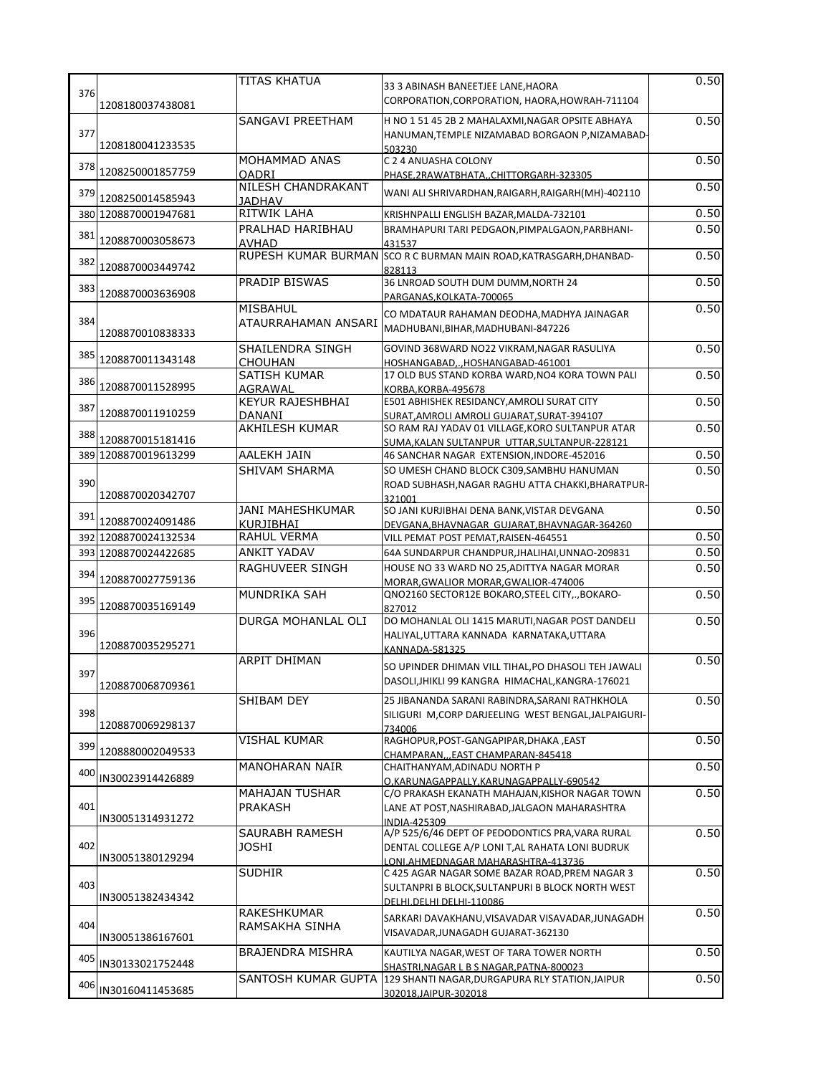|     |                      | TITAS KHATUA                                |                                                                                                                                            | 0.50 |
|-----|----------------------|---------------------------------------------|--------------------------------------------------------------------------------------------------------------------------------------------|------|
| 376 | 1208180037438081     |                                             | 33 3 ABINASH BANEETJEE LANE, HAORA<br>CORPORATION, CORPORATION, HAORA, HOWRAH-711104                                                       |      |
| 377 | 1208180041233535     | <b>SANGAVI PREETHAM</b>                     | H NO 1 51 45 2B 2 MAHALAXMI, NAGAR OPSITE ABHAYA<br>HANUMAN, TEMPLE NIZAMABAD BORGAON P, NIZAMABAD-<br>503230                              | 0.50 |
| 378 | 1208250001857759     | MOHAMMAD ANAS<br><b>OADRI</b>               | C 2 4 ANUASHA COLONY<br>PHASE, 2RAWATBHATA, , CHITTORGARH-323305                                                                           | 0.50 |
| 379 | 1208250014585943     | <b>NILESH CHANDRAKANT</b><br>JADHAV         | WANI ALI SHRIVARDHAN, RAIGARH, RAIGARH (MH)-402110                                                                                         | 0.50 |
|     | 380 1208870001947681 | RITWIK LAHA                                 | KRISHNPALLI ENGLISH BAZAR, MALDA-732101                                                                                                    | 0.50 |
| 381 | 1208870003058673     | PRALHAD HARIBHAU<br>AVHAD                   | BRAMHAPURI TARI PEDGAON, PIMPALGAON, PARBHANI-<br>431537                                                                                   | 0.50 |
| 382 | 1208870003449742     |                                             | RUPESH KUMAR BURMAN SCO R C BURMAN MAIN ROAD, KATRASGARH, DHANBAD-<br>828113                                                               | 0.50 |
| 383 | 1208870003636908     | <b>PRADIP BISWAS</b>                        | 36 LNROAD SOUTH DUM DUMM, NORTH 24<br>PARGANAS, KOLKATA-700065                                                                             | 0.50 |
| 384 | 1208870010838333     | <b>MISBAHUL</b><br>ATAURRAHAMAN ANSARI      | CO MDATAUR RAHAMAN DEODHA, MADHYA JAINAGAR<br>MADHUBANI, BIHAR, MADHUBANI-847226                                                           | 0.50 |
| 385 | 1208870011343148     | SHAILENDRA SINGH<br><b>CHOUHAN</b>          | GOVIND 368WARD NO22 VIKRAM, NAGAR RASULIYA<br>HOSHANGABAD,., HOSHANGABAD-461001                                                            | 0.50 |
| 386 | 1208870011528995     | SATISH KUMAR<br>AGRAWAL                     | 17 OLD BUS STAND KORBA WARD, NO4 KORA TOWN PALI<br>KORBA.KORBA-495678                                                                      | 0.50 |
|     |                      | <b>KEYUR RAJESHBHAI</b>                     | E501 ABHISHEK RESIDANCY, AMROLI SURAT CITY                                                                                                 | 0.50 |
| 387 | 1208870011910259     | DANANI                                      | SURAT, AMROLI AMROLI GUJARAT, SURAT-394107                                                                                                 |      |
| 388 | 1208870015181416     | AKHILESH KUMAR                              | SO RAM RAJ YADAV 01 VILLAGE, KORO SULTANPUR ATAR<br>SUMA, KALAN SULTANPUR UTTAR, SULTANPUR-228121                                          | 0.50 |
|     | 389 1208870019613299 | AALEKH JAIN                                 | 46 SANCHAR NAGAR EXTENSION, INDORE-452016                                                                                                  | 0.50 |
| 390 | 1208870020342707     | <b>SHIVAM SHARMA</b>                        | SO UMESH CHAND BLOCK C309, SAMBHU HANUMAN<br>ROAD SUBHASH, NAGAR RAGHU ATTA CHAKKI, BHARATPUR-<br>321001                                   | 0.50 |
| 391 | 1208870024091486     | <b>JANI MAHESHKUMAR</b><br><b>KURJIBHAI</b> | SO JANI KURJIBHAI DENA BANK, VISTAR DEVGANA<br>DEVGANA, BHAVNAGAR GUJARAT, BHAVNAGAR-364260                                                | 0.50 |
|     | 392 1208870024132534 | RAHUL VERMA                                 | VILL PEMAT POST PEMAT, RAISEN-464551                                                                                                       | 0.50 |
|     | 393 1208870024422685 | <b>ANKIT YADAV</b>                          | 64A SUNDARPUR CHANDPUR, JHALIHAI, UNNAO-209831                                                                                             | 0.50 |
| 394 | 1208870027759136     | RAGHUVEER SINGH                             | HOUSE NO 33 WARD NO 25, ADITTYA NAGAR MORAR<br>MORAR, GWALIOR MORAR, GWALIOR-474006                                                        | 0.50 |
| 395 | 1208870035169149     | <b>MUNDRIKA SAH</b>                         | QNO2160 SECTOR12E BOKARO, STEEL CITY,., BOKARO-<br>827012                                                                                  | 0.50 |
| 396 | 1208870035295271     | DURGA MOHANLAL OLI                          | DO MOHANLAL OLI 1415 MARUTI, NAGAR POST DANDELI<br>HALIYAL, UTTARA KANNADA KARNATAKA, UTTARA<br><b>KANNADA-581325</b>                      | 0.50 |
| 397 | 1208870068709361     | <b>ARPIT DHIMAN</b>                         | SO UPINDER DHIMAN VILL TIHAL, PO DHASOLI TEH JAWALI<br>DASOLI, JHIKLI 99 KANGRA HIMACHAL, KANGRA-176021                                    | 0.50 |
| 398 | 1208870069298137     | SHIBAM DEY                                  | 25 JIBANANDA SARANI RABINDRA, SARANI RATHKHOLA<br>SILIGURI M, CORP DARJEELING WEST BENGAL, JALPAIGURI-<br>734006                           | 0.50 |
| 399 | 1208880002049533     | <b>VISHAL KUMAR</b>                         | RAGHOPUR, POST-GANGAPIPAR, DHAKA, EAST<br>CHAMPARANEAST CHAMPARAN-845418                                                                   | 0.50 |
| 400 | IN30023914426889     | MANOHARAN NAIR                              | CHAITHANYAM, ADINADU NORTH P<br>O,KARUNAGAPPALLY,KARUNAGAPPALLY-690542                                                                     | 0.50 |
| 401 | IN30051314931272     | <b>MAHAJAN TUSHAR</b><br><b>PRAKASH</b>     | C/O PRAKASH EKANATH MAHAJAN, KISHOR NAGAR TOWN<br>LANE AT POST, NASHIRABAD, JALGAON MAHARASHTRA<br>INDIA-425309                            | 0.50 |
| 402 | IN30051380129294     | SAURABH RAMESH<br><b>JOSHI</b>              | A/P 525/6/46 DEPT OF PEDODONTICS PRA, VARA RURAL<br>DENTAL COLLEGE A/P LONI T, AL RAHATA LONI BUDRUK<br>LONI.AHMEDNAGAR MAHARASHTRA-413736 | 0.50 |
| 403 | IN30051382434342     | <b>SUDHIR</b>                               | C 425 AGAR NAGAR SOME BAZAR ROAD, PREM NAGAR 3<br>SULTANPRI B BLOCK, SULTANPURI B BLOCK NORTH WEST<br>DELHI.DELHI DELHI-110086             | 0.50 |
| 404 | IN30051386167601     | RAKESHKUMAR<br>RAMSAKHA SINHA               | SARKARI DAVAKHANU, VISAVADAR VISAVADAR, JUNAGADH<br>VISAVADAR, JUNAGADH GUJARAT-362130                                                     | 0.50 |
| 405 | IN30133021752448     | <b>BRAJENDRA MISHRA</b>                     | KAUTILYA NAGAR, WEST OF TARA TOWER NORTH<br>SHASTRI, NAGAR L B S NAGAR, PATNA-800023                                                       | 0.50 |
| 406 | IN30160411453685     |                                             | SANTOSH KUMAR GUPTA 129 SHANTI NAGAR, DURGAPURA RLY STATION, JAIPUR<br>302018, JAIPUR-302018                                               | 0.50 |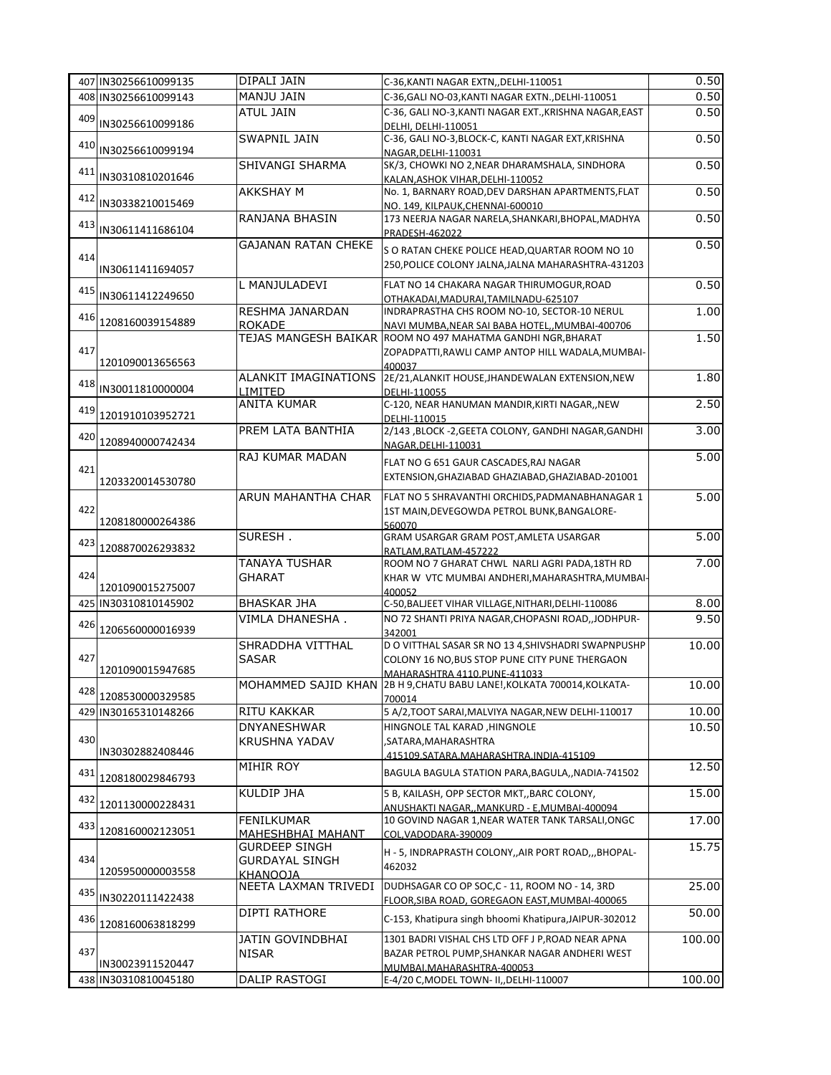|     | 407 IN30256610099135 | DIPALI JAIN                                                      | C-36, KANTI NAGAR EXTN, , DELHI-110051                                                                | 0.50   |
|-----|----------------------|------------------------------------------------------------------|-------------------------------------------------------------------------------------------------------|--------|
|     | 408 IN30256610099143 | MANJU JAIN                                                       | C-36, GALI NO-03, KANTI NAGAR EXTN., DELHI-110051                                                     | 0.50   |
| 409 | IN30256610099186     | <b>ATUL JAIN</b>                                                 | C-36, GALI NO-3, KANTI NAGAR EXT., KRISHNA NAGAR, EAST<br>DELHI, DELHI-110051                         | 0.50   |
|     | 410 IN30256610099194 | <b>SWAPNIL JAIN</b>                                              | C-36, GALI NO-3, BLOCK-C, KANTI NAGAR EXT, KRISHNA<br>NAGAR, DELHI-110031                             | 0.50   |
| 411 | IN30310810201646     | SHIVANGI SHARMA                                                  | SK/3, CHOWKI NO 2, NEAR DHARAMSHALA, SINDHORA<br>KALAN, ASHOK VIHAR, DELHI-110052                     | 0.50   |
| 412 | IN30338210015469     | <b>AKKSHAY M</b>                                                 | No. 1, BARNARY ROAD, DEV DARSHAN APARTMENTS, FLAT<br>NO. 149. KILPAUK.CHENNAI-600010                  | 0.50   |
| 413 | IN30611411686104     | <b>RANJANA BHASIN</b>                                            | 173 NEERJA NAGAR NARELA, SHANKARI, BHOPAL, MADHYA                                                     | 0.50   |
|     |                      | <b>GAJANAN RATAN CHEKE</b>                                       | PRADESH-462022                                                                                        | 0.50   |
| 414 | IN30611411694057     |                                                                  | S O RATAN CHEKE POLICE HEAD, QUARTAR ROOM NO 10<br>250, POLICE COLONY JALNA, JALNA MAHARASHTRA-431203 |        |
|     | 415 IN30611412249650 | L MANJULADEVI                                                    | FLAT NO 14 CHAKARA NAGAR THIRUMOGUR, ROAD<br>OTHAKADAI, MADURAI, TAMILNADU-625107                     | 0.50   |
| 416 | 1208160039154889     | RESHMA JANARDAN<br><b>ROKADE</b>                                 | INDRAPRASTHA CHS ROOM NO-10, SECTOR-10 NERUL<br>NAVI MUMBA, NEAR SAI BABA HOTEL,, MUMBAI-400706       | 1.00   |
|     |                      |                                                                  | TEJAS MANGESH BAIKAR ROOM NO 497 MAHATMA GANDHI NGR, BHARAT                                           | 1.50   |
| 417 |                      |                                                                  | ZOPADPATTI, RAWLI CAMP ANTOP HILL WADALA, MUMBAI-                                                     |        |
|     | 1201090013656563     | ALANKIT IMAGINATIONS                                             | 400037<br>2E/21, ALANKIT HOUSE, JHANDEWALAN EXTENSION, NEW                                            | 1.80   |
| 418 | IN30011810000004     | LIMITED                                                          | DELHI-110055                                                                                          |        |
| 419 |                      | <b>ANITA KUMAR</b>                                               | C-120, NEAR HANUMAN MANDIR, KIRTI NAGAR, , NEW                                                        | 2.50   |
|     | 1201910103952721     |                                                                  | DELHI-110015                                                                                          |        |
| 420 | 1208940000742434     | PREM LATA BANTHIA                                                | 2/143 ,BLOCK -2,GEETA COLONY, GANDHI NAGAR, GANDHI<br>NAGAR.DELHI-110031                              | 3.00   |
|     |                      | RAJ KUMAR MADAN                                                  | FLAT NO G 651 GAUR CASCADES, RAJ NAGAR                                                                | 5.00   |
| 421 | 1203320014530780     |                                                                  | EXTENSION, GHAZIABAD GHAZIABAD, GHAZIABAD-201001                                                      |        |
|     |                      | ARUN MAHANTHA CHAR                                               | FLAT NO 5 SHRAVANTHI ORCHIDS, PADMANABHANAGAR 1                                                       | 5.00   |
| 422 |                      |                                                                  | 1ST MAIN, DEVEGOWDA PETROL BUNK, BANGALORE-                                                           |        |
|     | 1208180000264386     |                                                                  | 560070                                                                                                |        |
| 423 | 1208870026293832     | SURESH.                                                          | GRAM USARGAR GRAM POST, AMLETA USARGAR<br>RATLAM, RATLAM-457222                                       | 5.00   |
|     |                      | <b>TANAYA TUSHAR</b>                                             | ROOM NO 7 GHARAT CHWL NARLI AGRI PADA, 18TH RD                                                        | 7.00   |
| 424 | 1201090015275007     | <b>GHARAT</b>                                                    | KHAR W VTC MUMBAI ANDHERI, MAHARASHTRA, MUMBAI-                                                       |        |
|     | 425 IN30310810145902 | <b>BHASKAR JHA</b>                                               | 400052<br>C-50, BALJEET VIHAR VILLAGE, NITHARI, DELHI-110086                                          | 8.00   |
| 426 | 1206560000016939     | VIMLA DHANESHA.                                                  | NO 72 SHANTI PRIYA NAGAR, CHOPASNI ROAD, JODHPUR-                                                     | 9.50   |
|     |                      | SHRADDHA VITTHAL                                                 | 342001<br>D O VITTHAL SASAR SR NO 13 4, SHIVSHADRI SWAPNPUSHP                                         | 10.00  |
| 427 |                      | <b>SASAR</b>                                                     | COLONY 16 NO, BUS STOP PUNE CITY PUNE THERGAON                                                        |        |
|     | 1201090015947685     |                                                                  | MAHARASHTRA 4110.PUNE-411033                                                                          |        |
| 428 | 1208530000329585     |                                                                  | MOHAMMED SAJID KHAN 2B H 9, CHATU BABU LANE!, KOLKATA 700014, KOLKATA-<br>700014                      | 10.00  |
|     | 429 IN30165310148266 | RITU KAKKAR                                                      | 5 A/2, TOOT SARAI, MALVIYA NAGAR, NEW DELHI-110017                                                    | 10.00  |
|     |                      | <b>DNYANESHWAR</b>                                               | HINGNOLE TAL KARAD, HINGNOLE                                                                          | 10.50  |
| 430 |                      | <b>KRUSHNA YADAV</b>                                             | SATARA, MAHARASHTRA                                                                                   |        |
|     | IN30302882408446     | MIHIR ROY                                                        | 415109.SATARA.MAHARASHTRA.INDIA-415109                                                                | 12.50  |
| 431 | 1208180029846793     |                                                                  | BAGULA BAGULA STATION PARA, BAGULA,, NADIA-741502                                                     |        |
| 432 | 1201130000228431     | KULDIP JHA                                                       | 5 B, KAILASH, OPP SECTOR MKT, BARC COLONY,                                                            | 15.00  |
|     |                      | <b>FENILKUMAR</b>                                                | ANUSHAKTI NAGAR,, MANKURD - E, MUMBAI-400094<br>10 GOVIND NAGAR 1, NEAR WATER TANK TARSALI, ONGC      | 17.00  |
| 433 | 1208160002123051     | MAHESHBHAI MAHANT                                                | COL, VADODARA-390009                                                                                  |        |
| 434 | 1205950000003558     | <b>GURDEEP SINGH</b><br><b>GURDAYAL SINGH</b><br><b>KHANOOJA</b> | H - 5, INDRAPRASTH COLONY, AIR PORT ROAD, , BHOPAL-<br>462032                                         | 15.75  |
| 435 | IN30220111422438     | NEETA LAXMAN TRIVEDI                                             | DUDHSAGAR CO OP SOC, C - 11, ROOM NO - 14, 3RD<br>FLOOR, SIBA ROAD, GOREGAON EAST, MUMBAI-400065      | 25.00  |
| 436 |                      | DIPTI RATHORE                                                    | C-153, Khatipura singh bhoomi Khatipura, JAIPUR-302012                                                | 50.00  |
|     | 1208160063818299     |                                                                  |                                                                                                       |        |
| 437 |                      | JATIN GOVINDBHAI<br><b>NISAR</b>                                 | 1301 BADRI VISHAL CHS LTD OFF J P, ROAD NEAR APNA<br>BAZAR PETROL PUMP, SHANKAR NAGAR ANDHERI WEST    | 100.00 |
|     | IN30023911520447     |                                                                  | MUMBALMAHARASHTRA-400053                                                                              |        |
|     | 438 IN30310810045180 | <b>DALIP RASTOGI</b>                                             | E-4/20 C, MODEL TOWN- II, DELHI-110007                                                                | 100.00 |